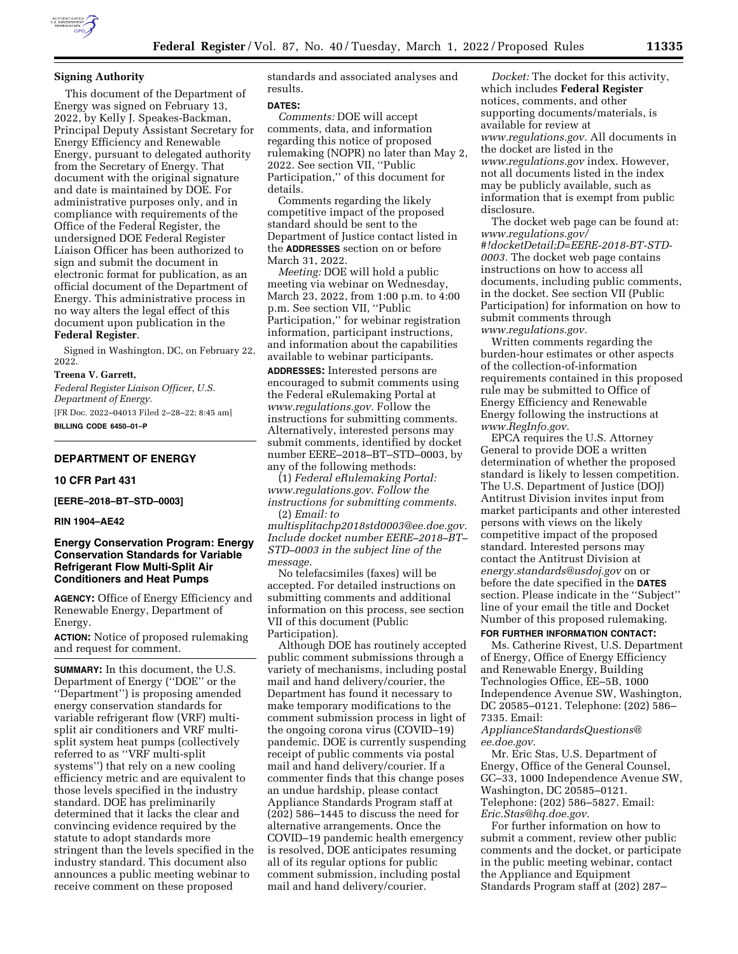

## **Signing Authority**

This document of the Department of Energy was signed on February 13, 2022, by Kelly J. Speakes-Backman, Principal Deputy Assistant Secretary for Energy Efficiency and Renewable Energy, pursuant to delegated authority from the Secretary of Energy. That document with the original signature and date is maintained by DOE. For administrative purposes only, and in compliance with requirements of the Office of the Federal Register, the undersigned DOE Federal Register Liaison Officer has been authorized to sign and submit the document in electronic format for publication, as an official document of the Department of Energy. This administrative process in no way alters the legal effect of this document upon publication in the **Federal Register**.

Signed in Washington, DC, on February 22, 2022.

#### **Treena V. Garrett,**

*Federal Register Liaison Officer, U.S. Department of Energy.*  [FR Doc. 2022–04013 Filed 2–28–22; 8:45 am] **BILLING CODE 6450–01–P** 

### **DEPARTMENT OF ENERGY**

### **10 CFR Part 431**

**[EERE–2018–BT–STD–0003]** 

**RIN 1904–AE42** 

## **Energy Conservation Program: Energy Conservation Standards for Variable Refrigerant Flow Multi-Split Air Conditioners and Heat Pumps**

**AGENCY:** Office of Energy Efficiency and Renewable Energy, Department of Energy.

**ACTION:** Notice of proposed rulemaking and request for comment.

**SUMMARY:** In this document, the U.S. Department of Energy (''DOE'' or the ''Department'') is proposing amended energy conservation standards for variable refrigerant flow (VRF) multisplit air conditioners and VRF multisplit system heat pumps (collectively referred to as ''VRF multi-split systems'') that rely on a new cooling efficiency metric and are equivalent to those levels specified in the industry standard. DOE has preliminarily determined that it lacks the clear and convincing evidence required by the statute to adopt standards more stringent than the levels specified in the industry standard. This document also announces a public meeting webinar to receive comment on these proposed

standards and associated analyses and results.

#### **DATES:**

*Comments:* DOE will accept comments, data, and information regarding this notice of proposed rulemaking (NOPR) no later than May 2, 2022. See section VII, ''Public Participation,'' of this document for details.

Comments regarding the likely competitive impact of the proposed standard should be sent to the Department of Justice contact listed in the **ADDRESSES** section on or before March 31, 2022.

*Meeting:* DOE will hold a public meeting via webinar on Wednesday, March 23, 2022, from 1:00 p.m. to 4:00 p.m. See section VII, ''Public Participation,'' for webinar registration information, participant instructions, and information about the capabilities available to webinar participants.

**ADDRESSES:** Interested persons are encouraged to submit comments using the Federal eRulemaking Portal at *[www.regulations.gov.](http://www.regulations.gov)* Follow the instructions for submitting comments. Alternatively, interested persons may submit comments, identified by docket number EERE–2018–BT–STD–0003, by any of the following methods:

(1) *Federal eRulemaking Portal: [www.regulations.gov](http://www.regulations.gov)*. *Follow the instructions for submitting comments.*  (2) *Email: [to](mailto:tomultisplitachp2018std0003@ee.doe.gov)* 

*[multisplitachp2018std0003@ee.doe.gov.](mailto:tomultisplitachp2018std0003@ee.doe.gov)  Include docket number EERE–2018–BT– STD–0003 in the subject line of the message.* 

No telefacsimiles (faxes) will be accepted. For detailed instructions on submitting comments and additional information on this process, see section VII of this document (Public Participation).

Although DOE has routinely accepted public comment submissions through a variety of mechanisms, including postal mail and hand delivery/courier, the Department has found it necessary to make temporary modifications to the comment submission process in light of the ongoing corona virus (COVID–19) pandemic. DOE is currently suspending receipt of public comments via postal mail and hand delivery/courier. If a commenter finds that this change poses an undue hardship, please contact Appliance Standards Program staff at (202) 586–1445 to discuss the need for alternative arrangements. Once the COVID–19 pandemic health emergency is resolved, DOE anticipates resuming all of its regular options for public comment submission, including postal mail and hand delivery/courier.

*Docket:* The docket for this activity, which includes **Federal Register**  notices, comments, and other supporting documents/materials, is available for review at *[www.regulations.gov.](http://www.regulations.gov)* All documents in the docket are listed in the *[www.regulations.gov](http://www.regulations.gov)* index. However, not all documents listed in the index may be publicly available, such as information that is exempt from public disclosure.

The docket web page can be found at: *[www.regulations.gov/](http://www.regulations.gov/#!docketDetail;D=EERE-2018-BT-STD-0003) [#!docketDetail;D=EERE-2018-BT-STD-](http://www.regulations.gov/#!docketDetail;D=EERE-2018-BT-STD-0003)[0003.](http://www.regulations.gov/#!docketDetail;D=EERE-2018-BT-STD-0003)* The docket web page contains instructions on how to access all documents, including public comments, in the docket. See section VII (Public Participation) for information on how to submit comments through *[www.regulations.gov.](http://www.regulations.gov)* 

Written comments regarding the burden-hour estimates or other aspects of the collection-of-information requirements contained in this proposed rule may be submitted to Office of Energy Efficiency and Renewable Energy following the instructions at *[www.RegInfo.gov.](http://www.RegInfo.gov)* 

EPCA requires the U.S. Attorney General to provide DOE a written determination of whether the proposed standard is likely to lessen competition. The U.S. Department of Justice (DOJ) Antitrust Division invites input from market participants and other interested persons with views on the likely competitive impact of the proposed standard. Interested persons may contact the Antitrust Division at *[energy.standards@usdoj.gov](mailto:energy.standards@usdoj.gov)* on or before the date specified in the **DATES** section. Please indicate in the ''Subject'' line of your email the title and Docket Number of this proposed rulemaking.

#### **FOR FURTHER INFORMATION CONTACT:**

Ms. Catherine Rivest, U.S. Department of Energy, Office of Energy Efficiency and Renewable Energy, Building Technologies Office, EE–5B, 1000 Independence Avenue SW, Washington, DC 20585–0121. Telephone: (202) 586– 7335. Email:

#### *[ApplianceStandardsQuestions@](mailto:ApplianceStandardsQuestions@ee.doe.gov) [ee.doe.gov.](mailto:ApplianceStandardsQuestions@ee.doe.gov)*

Mr. Eric Stas, U.S. Department of Energy, Office of the General Counsel, GC–33, 1000 Independence Avenue SW, Washington, DC 20585–0121. Telephone: (202) 586–5827. Email: *[Eric.Stas@hq.doe.gov.](mailto:Eric.Stas@hq.doe.gov)* 

For further information on how to submit a comment, review other public comments and the docket, or participate in the public meeting webinar, contact the Appliance and Equipment Standards Program staff at (202) 287–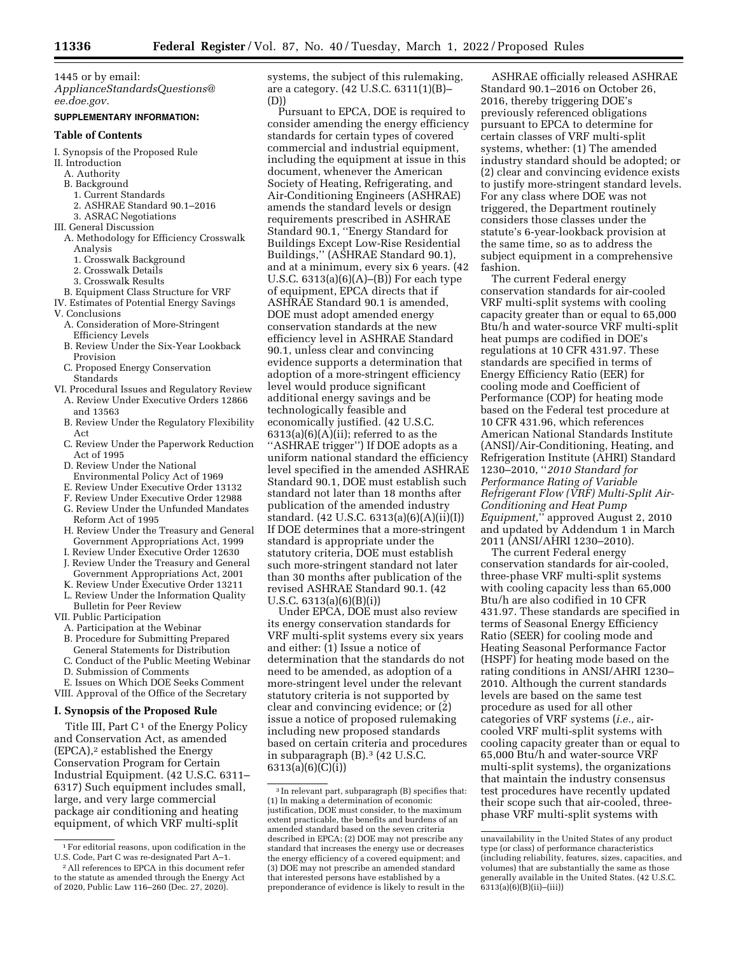1445 or by email: *[ApplianceStandardsQuestions@](mailto:ApplianceStandardsQuestions@ee.doe.gov) [ee.doe.gov.](mailto:ApplianceStandardsQuestions@ee.doe.gov)* 

## **SUPPLEMENTARY INFORMATION:**

#### **Table of Contents**

#### I. Synopsis of the Proposed Rule

- II. Introduction
- A. Authority
- B. Background
- 1. Current Standards
- 2. ASHRAE Standard 90.1–2016
- 3. ASRAC Negotiations
- III. General Discussion
- A. Methodology for Efficiency Crosswalk Analysis
	- 1. Crosswalk Background
	- 2. Crosswalk Details
	- 3. Crosswalk Results
- B. Equipment Class Structure for VRF
- IV. Estimates of Potential Energy Savings
- V. Conclusions
	- A. Consideration of More-Stringent Efficiency Levels
	- B. Review Under the Six-Year Lookback Provision
	- C. Proposed Energy Conservation Standards
- VI. Procedural Issues and Regulatory Review A. Review Under Executive Orders 12866
	- and 13563 B. Review Under the Regulatory Flexibility Act
	- C. Review Under the Paperwork Reduction Act of 1995
	- D. Review Under the National
	- Environmental Policy Act of 1969
	- E. Review Under Executive Order 13132
	- F. Review Under Executive Order 12988
	- G. Review Under the Unfunded Mandates Reform Act of 1995
	- H. Review Under the Treasury and General Government Appropriations Act, 1999
	- I. Review Under Executive Order 12630 J. Review Under the Treasury and General
	- Government Appropriations Act, 2001
	- K. Review Under Executive Order 13211 L. Review Under the Information Quality Bulletin for Peer Review
- VII. Public Participation
- A. Participation at the Webinar
- B. Procedure for Submitting Prepared
- General Statements for Distribution
- C. Conduct of the Public Meeting Webinar D. Submission of Comments
- 

E. Issues on Which DOE Seeks Comment VIII. Approval of the Office of the Secretary

#### **I. Synopsis of the Proposed Rule**

Title III, Part  $C<sup>1</sup>$  of the Energy Policy and Conservation Act, as amended  $(EPCA)<sup>2</sup>$  established the Energy Conservation Program for Certain Industrial Equipment. (42 U.S.C. 6311– 6317) Such equipment includes small, large, and very large commercial package air conditioning and heating equipment, of which VRF multi-split

systems, the subject of this rulemaking, are a category. (42 U.S.C. 6311(1)(B)– (D))

Pursuant to EPCA, DOE is required to consider amending the energy efficiency standards for certain types of covered commercial and industrial equipment, including the equipment at issue in this document, whenever the American Society of Heating, Refrigerating, and Air-Conditioning Engineers (ASHRAE) amends the standard levels or design requirements prescribed in ASHRAE Standard 90.1, ''Energy Standard for Buildings Except Low-Rise Residential Buildings,'' (ASHRAE Standard 90.1), and at a minimum, every six 6 years. (42 U.S.C. 6313(a)(6)(A)–(B)) For each type of equipment, EPCA directs that if ASHRAE Standard 90.1 is amended, DOE must adopt amended energy conservation standards at the new efficiency level in ASHRAE Standard 90.1, unless clear and convincing evidence supports a determination that adoption of a more-stringent efficiency level would produce significant additional energy savings and be technologically feasible and economically justified. (42 U.S.C.  $6313(a)(6)(A)(ii)$ ; referred to as the ''ASHRAE trigger'') If DOE adopts as a uniform national standard the efficiency level specified in the amended ASHRAE Standard 90.1, DOE must establish such standard not later than 18 months after publication of the amended industry standard. (42 U.S.C. 6313(a)(6)(A)(ii)(I)) If DOE determines that a more-stringent standard is appropriate under the statutory criteria, DOE must establish such more-stringent standard not later than 30 months after publication of the revised ASHRAE Standard 90.1. (42 U.S.C. 6313(a)(6)(B)(i))

Under EPCA, DOE must also review its energy conservation standards for VRF multi-split systems every six years and either: (1) Issue a notice of determination that the standards do not need to be amended, as adoption of a more-stringent level under the relevant statutory criteria is not supported by clear and convincing evidence; or (2) issue a notice of proposed rulemaking including new proposed standards based on certain criteria and procedures in subparagraph (B).3 (42 U.S.C. 6313(a)(6)(C)(i))

ASHRAE officially released ASHRAE Standard 90.1–2016 on October 26, 2016, thereby triggering DOE's previously referenced obligations pursuant to EPCA to determine for certain classes of VRF multi-split systems, whether: (1) The amended industry standard should be adopted; or (2) clear and convincing evidence exists to justify more-stringent standard levels. For any class where DOE was not triggered, the Department routinely considers those classes under the statute's 6-year-lookback provision at the same time, so as to address the subject equipment in a comprehensive fashion.

The current Federal energy conservation standards for air-cooled VRF multi-split systems with cooling capacity greater than or equal to 65,000 Btu/h and water-source VRF multi-split heat pumps are codified in DOE's regulations at 10 CFR 431.97. These standards are specified in terms of Energy Efficiency Ratio (EER) for cooling mode and Coefficient of Performance (COP) for heating mode based on the Federal test procedure at 10 CFR 431.96, which references American National Standards Institute (ANSI)/Air-Conditioning, Heating, and Refrigeration Institute (AHRI) Standard 1230–2010, ''*2010 Standard for Performance Rating of Variable Refrigerant Flow (VRF) Multi-Split Air-Conditioning and Heat Pump Equipment,*'' approved August 2, 2010 and updated by Addendum 1 in March 2011 (ANSI/AHRI 1230–2010).

The current Federal energy conservation standards for air-cooled, three-phase VRF multi-split systems with cooling capacity less than 65,000 Btu/h are also codified in 10 CFR 431.97. These standards are specified in terms of Seasonal Energy Efficiency Ratio (SEER) for cooling mode and Heating Seasonal Performance Factor (HSPF) for heating mode based on the rating conditions in ANSI/AHRI 1230– 2010. Although the current standards levels are based on the same test procedure as used for all other categories of VRF systems (*i.e.,* aircooled VRF multi-split systems with cooling capacity greater than or equal to 65,000 Btu/h and water-source VRF multi-split systems), the organizations that maintain the industry consensus test procedures have recently updated their scope such that air-cooled, threephase VRF multi-split systems with

<sup>1</sup>For editorial reasons, upon codification in the U.S. Code, Part C was re-designated Part A–1.

<sup>2</sup>All references to EPCA in this document refer to the statute as amended through the Energy Act of 2020, Public Law 116–260 (Dec. 27, 2020).

<sup>3</sup> In relevant part, subparagraph (B) specifies that: (1) In making a determination of economic justification, DOE must consider, to the maximum extent practicable, the benefits and burdens of an amended standard based on the seven criteria described in EPCA; (2) DOE may not prescribe any standard that increases the energy use or decreases the energy efficiency of a covered equipment; and (3) DOE may not prescribe an amended standard that interested persons have established by a preponderance of evidence is likely to result in the

unavailability in the United States of any product type (or class) of performance characteristics (including reliability, features, sizes, capacities, and volumes) that are substantially the same as those generally available in the United States. (42 U.S.C.  $6313(a)(6)(B)(ii)–(iii))$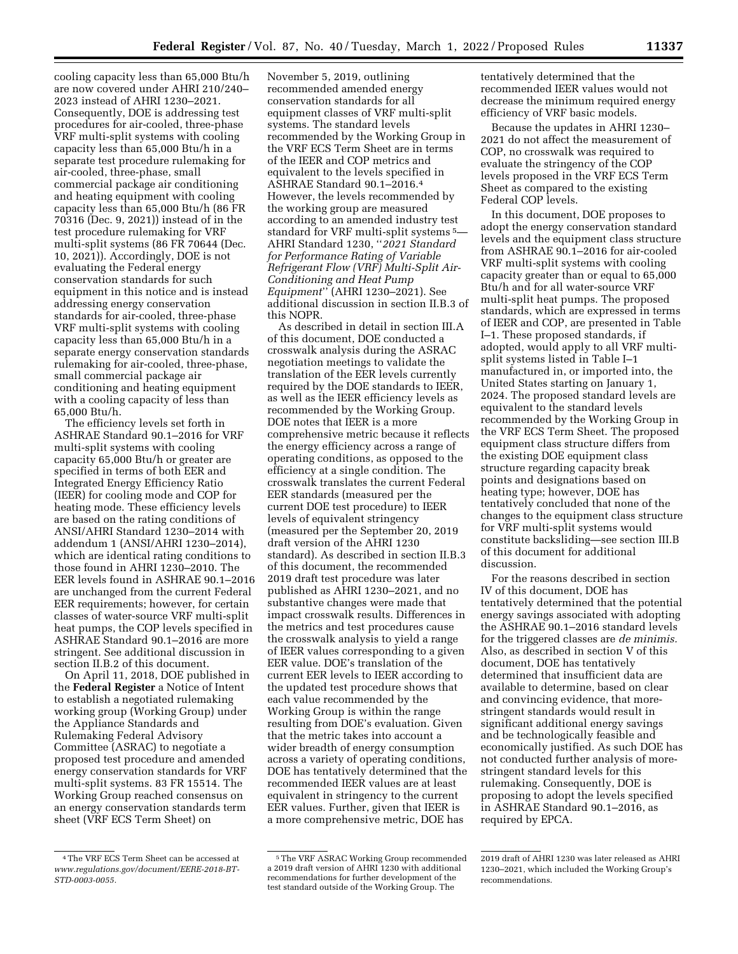cooling capacity less than 65,000 Btu/h are now covered under AHRI 210/240– 2023 instead of AHRI 1230–2021. Consequently, DOE is addressing test procedures for air-cooled, three-phase VRF multi-split systems with cooling capacity less than 65,000 Btu/h in a separate test procedure rulemaking for air-cooled, three-phase, small commercial package air conditioning and heating equipment with cooling capacity less than 65,000 Btu/h (86 FR 70316 (Dec. 9, 2021)) instead of in the test procedure rulemaking for VRF multi-split systems (86 FR 70644 (Dec. 10, 2021)). Accordingly, DOE is not evaluating the Federal energy conservation standards for such equipment in this notice and is instead addressing energy conservation standards for air-cooled, three-phase VRF multi-split systems with cooling capacity less than 65,000 Btu/h in a separate energy conservation standards rulemaking for air-cooled, three-phase, small commercial package air conditioning and heating equipment with a cooling capacity of less than 65,000 Btu/h.

The efficiency levels set forth in ASHRAE Standard 90.1–2016 for VRF multi-split systems with cooling capacity 65,000 Btu/h or greater are specified in terms of both EER and Integrated Energy Efficiency Ratio (IEER) for cooling mode and COP for heating mode. These efficiency levels are based on the rating conditions of ANSI/AHRI Standard 1230–2014 with addendum 1 (ANSI/AHRI 1230–2014), which are identical rating conditions to those found in AHRI 1230–2010. The EER levels found in ASHRAE 90.1–2016 are unchanged from the current Federal EER requirements; however, for certain classes of water-source VRF multi-split heat pumps, the COP levels specified in ASHRAE Standard 90.1–2016 are more stringent. See additional discussion in section II.B.2 of this document.

On April 11, 2018, DOE published in the **Federal Register** a Notice of Intent to establish a negotiated rulemaking working group (Working Group) under the Appliance Standards and Rulemaking Federal Advisory Committee (ASRAC) to negotiate a proposed test procedure and amended energy conservation standards for VRF multi-split systems. 83 FR 15514. The Working Group reached consensus on an energy conservation standards term sheet (VRF ECS Term Sheet) on

November 5, 2019, outlining recommended amended energy conservation standards for all equipment classes of VRF multi-split systems. The standard levels recommended by the Working Group in the VRF ECS Term Sheet are in terms of the IEER and COP metrics and equivalent to the levels specified in ASHRAE Standard 90.1–2016.4 However, the levels recommended by the working group are measured according to an amended industry test standard for VRF multi-split systems 5— AHRI Standard 1230, ''*2021 Standard for Performance Rating of Variable Refrigerant Flow (VRF) Multi-Split Air-Conditioning and Heat Pump Equipment*'' (AHRI 1230–2021). See additional discussion in section II.B.3 of this NOPR.

As described in detail in section III.A of this document, DOE conducted a crosswalk analysis during the ASRAC negotiation meetings to validate the translation of the EER levels currently required by the DOE standards to IEER, as well as the IEER efficiency levels as recommended by the Working Group. DOE notes that IEER is a more comprehensive metric because it reflects the energy efficiency across a range of operating conditions, as opposed to the efficiency at a single condition. The crosswalk translates the current Federal EER standards (measured per the current DOE test procedure) to IEER levels of equivalent stringency (measured per the September 20, 2019 draft version of the AHRI 1230 standard). As described in section II.B.3 of this document, the recommended 2019 draft test procedure was later published as AHRI 1230–2021, and no substantive changes were made that impact crosswalk results. Differences in the metrics and test procedures cause the crosswalk analysis to yield a range of IEER values corresponding to a given EER value. DOE's translation of the current EER levels to IEER according to the updated test procedure shows that each value recommended by the Working Group is within the range resulting from DOE's evaluation. Given that the metric takes into account a wider breadth of energy consumption across a variety of operating conditions, DOE has tentatively determined that the recommended IEER values are at least equivalent in stringency to the current EER values. Further, given that IEER is a more comprehensive metric, DOE has

tentatively determined that the recommended IEER values would not decrease the minimum required energy efficiency of VRF basic models.

Because the updates in AHRI 1230– 2021 do not affect the measurement of COP, no crosswalk was required to evaluate the stringency of the COP levels proposed in the VRF ECS Term Sheet as compared to the existing Federal COP levels.

In this document, DOE proposes to adopt the energy conservation standard levels and the equipment class structure from ASHRAE 90.1–2016 for air-cooled VRF multi-split systems with cooling capacity greater than or equal to 65,000 Btu/h and for all water-source VRF multi-split heat pumps. The proposed standards, which are expressed in terms of IEER and COP, are presented in Table I–1. These proposed standards, if adopted, would apply to all VRF multisplit systems listed in Table I–1 manufactured in, or imported into, the United States starting on January 1, 2024. The proposed standard levels are equivalent to the standard levels recommended by the Working Group in the VRF ECS Term Sheet. The proposed equipment class structure differs from the existing DOE equipment class structure regarding capacity break points and designations based on heating type; however, DOE has tentatively concluded that none of the changes to the equipment class structure for VRF multi-split systems would constitute backsliding—see section III.B of this document for additional discussion.

For the reasons described in section IV of this document, DOE has tentatively determined that the potential energy savings associated with adopting the ASHRAE 90.1–2016 standard levels for the triggered classes are *de minimis.*  Also, as described in section V of this document, DOE has tentatively determined that insufficient data are available to determine, based on clear and convincing evidence, that morestringent standards would result in significant additional energy savings and be technologically feasible and economically justified. As such DOE has not conducted further analysis of morestringent standard levels for this rulemaking. Consequently, DOE is proposing to adopt the levels specified in ASHRAE Standard 90.1–2016, as required by EPCA.

<sup>4</sup>The VRF ECS Term Sheet can be accessed at *[www.regulations.gov/document/EERE-2018-BT-](http://www.regulations.gov/document/EERE-2018-BT-STD-0003-0055)[STD-0003-0055.](http://www.regulations.gov/document/EERE-2018-BT-STD-0003-0055)* 

<sup>5</sup>The VRF ASRAC Working Group recommended a 2019 draft version of AHRI 1230 with additional recommendations for further development of the test standard outside of the Working Group. The

<sup>2019</sup> draft of AHRI 1230 was later released as AHRI 1230–2021, which included the Working Group's recommendations.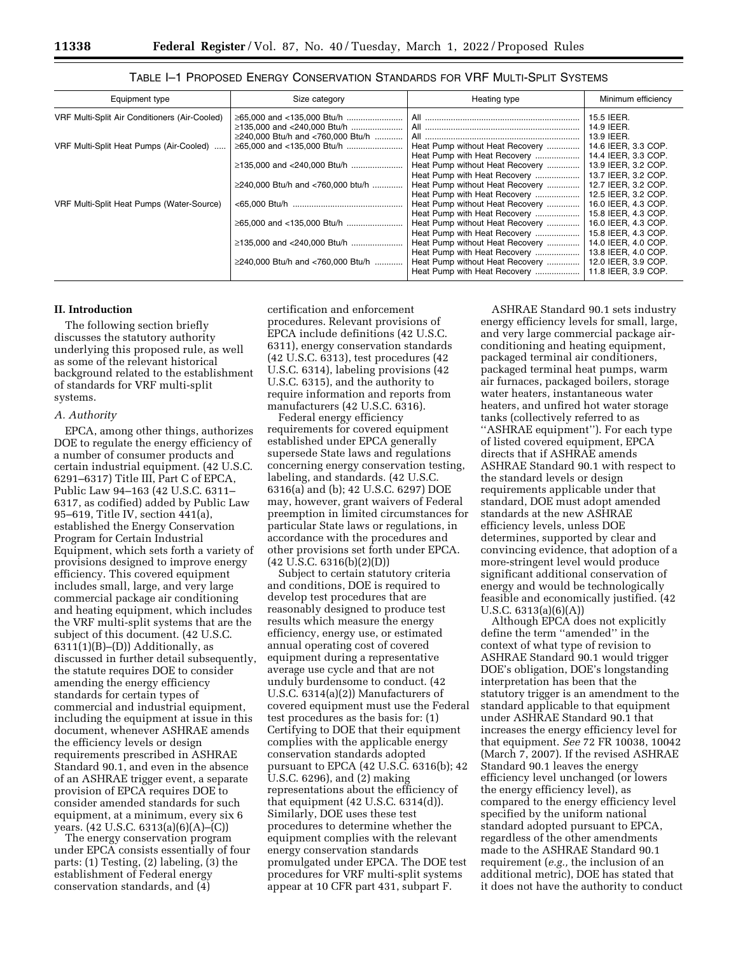| Equipment type                                | Size category                     | Heating type                    | Minimum efficiency  |
|-----------------------------------------------|-----------------------------------|---------------------------------|---------------------|
| VRF Multi-Split Air Conditioners (Air-Cooled) |                                   |                                 | 15.5 IEER.          |
|                                               |                                   |                                 | 14.9 IEER.          |
|                                               | ≥240,000 Btu/h and <760,000 Btu/h |                                 | 13.9 IEER.          |
| VRF Multi-Split Heat Pumps (Air-Cooled)       | ≥65,000 and <135,000 Btu/h        | Heat Pump without Heat Recovery | 14.6 IEER, 3.3 COP. |
|                                               |                                   | Heat Pump with Heat Recovery    | 14.4 IEER, 3.3 COP. |
|                                               | ≥135,000 and <240,000 Btu/h       | Heat Pump without Heat Recovery | 13.9 IEER, 3.2 COP. |
|                                               |                                   | Heat Pump with Heat Recovery    | 13.7 IEER, 3.2 COP. |
|                                               | ≥240,000 Btu/h and <760,000 btu/h | Heat Pump without Heat Recovery | 12.7 IEER, 3.2 COP. |
|                                               |                                   | Heat Pump with Heat Recovery    | 12.5 IEER, 3.2 COP. |
| VRF Multi-Split Heat Pumps (Water-Source)     |                                   | Heat Pump without Heat Recovery | 16.0 IEER, 4.3 COP. |
|                                               |                                   | Heat Pump with Heat Recovery    | 15.8 IEER, 4.3 COP. |
|                                               |                                   | Heat Pump without Heat Recovery | 16.0 IEER, 4.3 COP. |
|                                               |                                   | Heat Pump with Heat Recovery    | 15.8 IEER, 4.3 COP. |
|                                               |                                   | Heat Pump without Heat Recovery | 14.0 IEER, 4.0 COP. |
|                                               |                                   | Heat Pump with Heat Recovery    | 13.8 IEER, 4.0 COP. |
|                                               | ≥240,000 Btu/h and <760,000 Btu/h | Heat Pump without Heat Recovery | 12.0 IEER, 3.9 COP. |
|                                               |                                   | Heat Pump with Heat Recovery    | 11.8 IEER, 3.9 COP. |

TABLE I–1 PROPOSED ENERGY CONSERVATION STANDARDS FOR VRF MULTI-SPLIT SYSTEMS

## **II. Introduction**

The following section briefly discusses the statutory authority underlying this proposed rule, as well as some of the relevant historical background related to the establishment of standards for VRF multi-split systems.

## *A. Authority*

EPCA, among other things, authorizes DOE to regulate the energy efficiency of a number of consumer products and certain industrial equipment. (42 U.S.C. 6291–6317) Title III, Part C of EPCA, Public Law 94–163 (42 U.S.C. 6311– 6317, as codified) added by Public Law 95–619, Title IV, section 441(a), established the Energy Conservation Program for Certain Industrial Equipment, which sets forth a variety of provisions designed to improve energy efficiency. This covered equipment includes small, large, and very large commercial package air conditioning and heating equipment, which includes the VRF multi-split systems that are the subject of this document. (42 U.S.C.  $6311(1)(B)$ –(D)) Additionally, as discussed in further detail subsequently, the statute requires DOE to consider amending the energy efficiency standards for certain types of commercial and industrial equipment, including the equipment at issue in this document, whenever ASHRAE amends the efficiency levels or design requirements prescribed in ASHRAE Standard 90.1, and even in the absence of an ASHRAE trigger event, a separate provision of EPCA requires DOE to consider amended standards for such equipment, at a minimum, every six 6 years. (42 U.S.C. 6313(a)(6)(A)–(C))

The energy conservation program under EPCA consists essentially of four parts: (1) Testing, (2) labeling, (3) the establishment of Federal energy conservation standards, and (4)

certification and enforcement procedures. Relevant provisions of EPCA include definitions (42 U.S.C. 6311), energy conservation standards (42 U.S.C. 6313), test procedures (42 U.S.C. 6314), labeling provisions (42 U.S.C. 6315), and the authority to require information and reports from manufacturers (42 U.S.C. 6316).

Federal energy efficiency requirements for covered equipment established under EPCA generally supersede State laws and regulations concerning energy conservation testing, labeling, and standards. (42 U.S.C. 6316(a) and (b); 42 U.S.C. 6297) DOE may, however, grant waivers of Federal preemption in limited circumstances for particular State laws or regulations, in accordance with the procedures and other provisions set forth under EPCA.  $(42 \text{ U.S.C. } 6316(b)(2)(D))$ 

Subject to certain statutory criteria and conditions, DOE is required to develop test procedures that are reasonably designed to produce test results which measure the energy efficiency, energy use, or estimated annual operating cost of covered equipment during a representative average use cycle and that are not unduly burdensome to conduct. (42 U.S.C. 6314(a)(2)) Manufacturers of covered equipment must use the Federal test procedures as the basis for: (1) Certifying to DOE that their equipment complies with the applicable energy conservation standards adopted pursuant to EPCA (42 U.S.C. 6316(b); 42 U.S.C. 6296), and (2) making representations about the efficiency of that equipment (42 U.S.C. 6314(d)). Similarly, DOE uses these test procedures to determine whether the equipment complies with the relevant energy conservation standards promulgated under EPCA. The DOE test procedures for VRF multi-split systems appear at 10 CFR part 431, subpart F.

ASHRAE Standard 90.1 sets industry energy efficiency levels for small, large, and very large commercial package airconditioning and heating equipment, packaged terminal air conditioners, packaged terminal heat pumps, warm air furnaces, packaged boilers, storage water heaters, instantaneous water heaters, and unfired hot water storage tanks (collectively referred to as ''ASHRAE equipment''). For each type of listed covered equipment, EPCA directs that if ASHRAE amends ASHRAE Standard 90.1 with respect to the standard levels or design requirements applicable under that standard, DOE must adopt amended standards at the new ASHRAE efficiency levels, unless DOE determines, supported by clear and convincing evidence, that adoption of a more-stringent level would produce significant additional conservation of energy and would be technologically feasible and economically justified. (42 U.S.C. 6313(a)(6)(A))

Although EPCA does not explicitly define the term ''amended'' in the context of what type of revision to ASHRAE Standard 90.1 would trigger DOE's obligation, DOE's longstanding interpretation has been that the statutory trigger is an amendment to the standard applicable to that equipment under ASHRAE Standard 90.1 that increases the energy efficiency level for that equipment. *See* 72 FR 10038, 10042 (March 7, 2007). If the revised ASHRAE Standard 90.1 leaves the energy efficiency level unchanged (or lowers the energy efficiency level), as compared to the energy efficiency level specified by the uniform national standard adopted pursuant to EPCA, regardless of the other amendments made to the ASHRAE Standard 90.1 requirement (*e.g.,* the inclusion of an additional metric), DOE has stated that it does not have the authority to conduct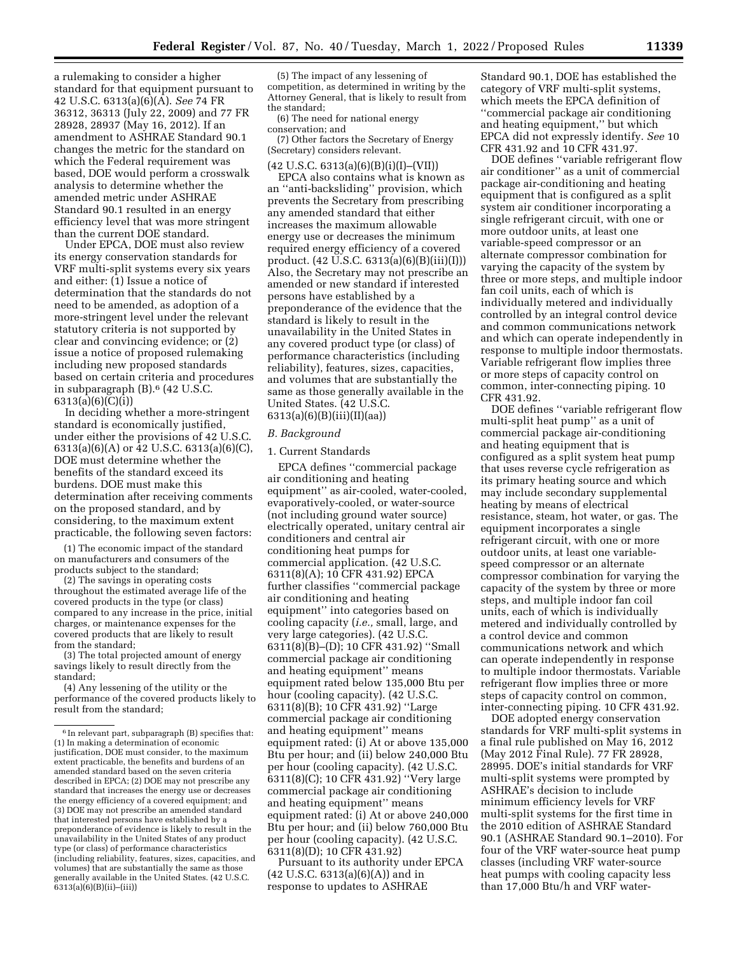a rulemaking to consider a higher standard for that equipment pursuant to 42 U.S.C. 6313(a)(6)(A). *See* 74 FR 36312, 36313 (July 22, 2009) and 77 FR 28928, 28937 (May 16, 2012). If an amendment to ASHRAE Standard 90.1 changes the metric for the standard on which the Federal requirement was based, DOE would perform a crosswalk analysis to determine whether the amended metric under ASHRAE Standard 90.1 resulted in an energy efficiency level that was more stringent than the current DOE standard.

Under EPCA, DOE must also review its energy conservation standards for VRF multi-split systems every six years and either: (1) Issue a notice of determination that the standards do not need to be amended, as adoption of a more-stringent level under the relevant statutory criteria is not supported by clear and convincing evidence; or (2) issue a notice of proposed rulemaking including new proposed standards based on certain criteria and procedures in subparagraph (B).6 (42 U.S.C. 6313(a)(6)(C)(i))

In deciding whether a more-stringent standard is economically justified, under either the provisions of 42 U.S.C. 6313(a)(6)(A) or 42 U.S.C. 6313(a)(6)(C), DOE must determine whether the benefits of the standard exceed its burdens. DOE must make this determination after receiving comments on the proposed standard, and by considering, to the maximum extent practicable, the following seven factors:

(1) The economic impact of the standard on manufacturers and consumers of the products subject to the standard;

(2) The savings in operating costs throughout the estimated average life of the covered products in the type (or class) compared to any increase in the price, initial charges, or maintenance expenses for the covered products that are likely to result from the standard;

(3) The total projected amount of energy savings likely to result directly from the standard;

(4) Any lessening of the utility or the performance of the covered products likely to result from the standard;

(5) The impact of any lessening of competition, as determined in writing by the Attorney General, that is likely to result from the standard;

(6) The need for national energy conservation; and

(7) Other factors the Secretary of Energy (Secretary) considers relevant.

 $(42 \text{ U.S.C. } 6313(a)(6)(B)(i)(I)–(VII))$ EPCA also contains what is known as an ''anti-backsliding'' provision, which prevents the Secretary from prescribing any amended standard that either increases the maximum allowable energy use or decreases the minimum required energy efficiency of a covered product. (42 U.S.C. 6313(a)(6)(B)(iii)(I))) Also, the Secretary may not prescribe an amended or new standard if interested persons have established by a preponderance of the evidence that the standard is likely to result in the unavailability in the United States in any covered product type (or class) of performance characteristics (including reliability), features, sizes, capacities, and volumes that are substantially the same as those generally available in the United States. (42 U.S.C. 6313(a)(6)(B)(iii)(II)(aa))

#### *B. Background*

#### 1. Current Standards

EPCA defines ''commercial package air conditioning and heating equipment'' as air-cooled, water-cooled, evaporatively-cooled, or water-source (not including ground water source) electrically operated, unitary central air conditioners and central air conditioning heat pumps for commercial application. (42 U.S.C. 6311(8)(A); 10 CFR 431.92) EPCA further classifies ''commercial package air conditioning and heating equipment'' into categories based on cooling capacity (*i.e.,* small, large, and very large categories). (42 U.S.C. 6311(8)(B)–(D); 10 CFR 431.92) ''Small commercial package air conditioning and heating equipment'' means equipment rated below 135,000 Btu per hour (cooling capacity). (42 U.S.C. 6311(8)(B); 10 CFR 431.92) ''Large commercial package air conditioning and heating equipment'' means equipment rated: (i) At or above 135,000 Btu per hour; and (ii) below 240,000 Btu per hour (cooling capacity). (42 U.S.C. 6311(8)(C); 10 CFR 431.92) ''Very large commercial package air conditioning and heating equipment'' means equipment rated: (i) At or above 240,000 Btu per hour; and (ii) below 760,000 Btu per hour (cooling capacity). (42 U.S.C. 6311(8)(D); 10 CFR 431.92)

Pursuant to its authority under EPCA (42 U.S.C. 6313(a)(6)(A)) and in response to updates to ASHRAE

Standard 90.1, DOE has established the category of VRF multi-split systems, which meets the EPCA definition of ''commercial package air conditioning and heating equipment,'' but which EPCA did not expressly identify. *See* 10 CFR 431.92 and 10 CFR 431.97.

DOE defines ''variable refrigerant flow air conditioner'' as a unit of commercial package air-conditioning and heating equipment that is configured as a split system air conditioner incorporating a single refrigerant circuit, with one or more outdoor units, at least one variable-speed compressor or an alternate compressor combination for varying the capacity of the system by three or more steps, and multiple indoor fan coil units, each of which is individually metered and individually controlled by an integral control device and common communications network and which can operate independently in response to multiple indoor thermostats. Variable refrigerant flow implies three or more steps of capacity control on common, inter-connecting piping. 10 CFR 431.92.

DOE defines ''variable refrigerant flow multi-split heat pump'' as a unit of commercial package air-conditioning and heating equipment that is configured as a split system heat pump that uses reverse cycle refrigeration as its primary heating source and which may include secondary supplemental heating by means of electrical resistance, steam, hot water, or gas. The equipment incorporates a single refrigerant circuit, with one or more outdoor units, at least one variablespeed compressor or an alternate compressor combination for varying the capacity of the system by three or more steps, and multiple indoor fan coil units, each of which is individually metered and individually controlled by a control device and common communications network and which can operate independently in response to multiple indoor thermostats. Variable refrigerant flow implies three or more steps of capacity control on common, inter-connecting piping. 10 CFR 431.92.

DOE adopted energy conservation standards for VRF multi-split systems in a final rule published on May 16, 2012 (May 2012 Final Rule). 77 FR 28928, 28995. DOE's initial standards for VRF multi-split systems were prompted by ASHRAE's decision to include minimum efficiency levels for VRF multi-split systems for the first time in the 2010 edition of ASHRAE Standard 90.1 (ASHRAE Standard 90.1–2010). For four of the VRF water-source heat pump classes (including VRF water-source heat pumps with cooling capacity less than 17,000 Btu/h and VRF water-

<sup>6</sup> In relevant part, subparagraph (B) specifies that: (1) In making a determination of economic justification, DOE must consider, to the maximum extent practicable, the benefits and burdens of an amended standard based on the seven criteria described in EPCA; (2) DOE may not prescribe any standard that increases the energy use or decreases the energy efficiency of a covered equipment; and (3) DOE may not prescribe an amended standard that interested persons have established by a preponderance of evidence is likely to result in the unavailability in the United States of any product type (or class) of performance characteristics (including reliability, features, sizes, capacities, and volumes) that are substantially the same as those generally available in the United States. (42 U.S.C.  $6313(a)(6)(B)(ii)–(iii))$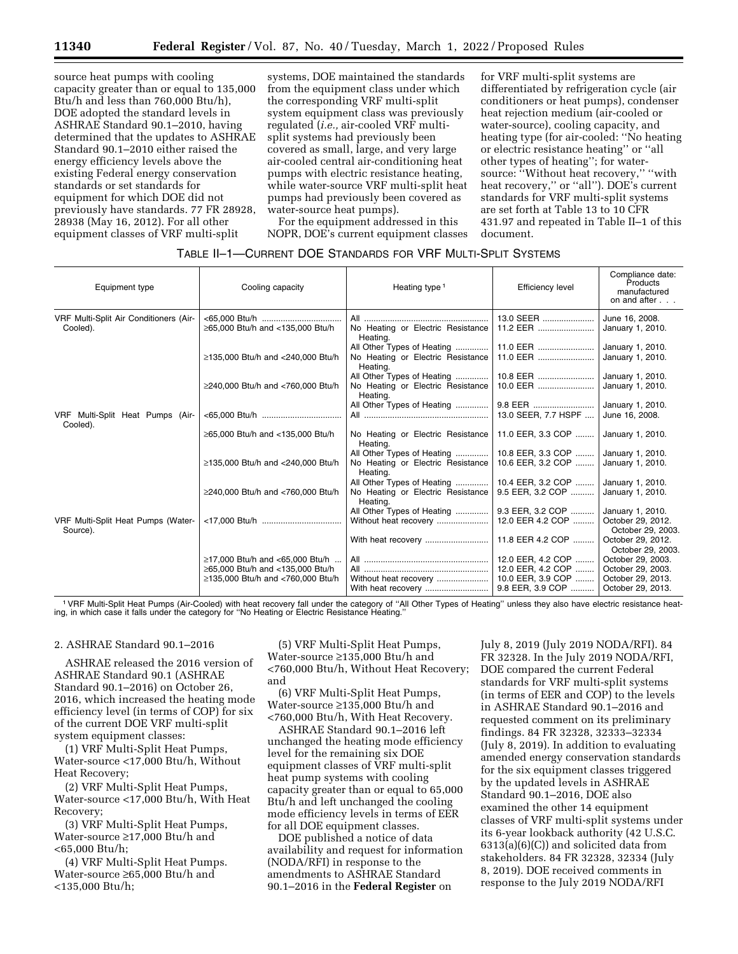source heat pumps with cooling capacity greater than or equal to 135,000 Btu/h and less than 760,000 Btu/h), DOE adopted the standard levels in ASHRAE Standard 90.1–2010, having determined that the updates to ASHRAE Standard 90.1–2010 either raised the energy efficiency levels above the existing Federal energy conservation standards or set standards for equipment for which DOE did not previously have standards. 77 FR 28928, 28938 (May 16, 2012). For all other equipment classes of VRF multi-split

systems, DOE maintained the standards from the equipment class under which the corresponding VRF multi-split system equipment class was previously regulated (*i.e.,* air-cooled VRF multisplit systems had previously been covered as small, large, and very large air-cooled central air-conditioning heat pumps with electric resistance heating, while water-source VRF multi-split heat pumps had previously been covered as water-source heat pumps).

For the equipment addressed in this NOPR, DOE's current equipment classes for VRF multi-split systems are differentiated by refrigeration cycle (air conditioners or heat pumps), condenser heat rejection medium (air-cooled or water-source), cooling capacity, and heating type (for air-cooled: ''No heating or electric resistance heating'' or ''all other types of heating''; for watersource: ''Without heat recovery,'' ''with heat recovery," or "all"). DOE's current standards for VRF multi-split systems are set forth at Table 13 to 10 CFR 431.97 and repeated in Table II–1 of this document.

# TABLE II–1—CURRENT DOE STANDARDS FOR VRF MULTI-SPLIT SYSTEMS

| Products<br>manufactured<br>on and after |
|------------------------------------------|
| June 16, 2008.                           |
| January 1, 2010.                         |
| January 1, 2010.                         |
| January 1, 2010.                         |
| January 1, 2010.                         |
| January 1, 2010.                         |
| January 1, 2010.                         |
| June 16, 2008.                           |
| January 1, 2010.                         |
| January 1, 2010.                         |
| January 1, 2010.                         |
| 10.4 EER, 3.2 COP    January 1, 2010.    |
| January 1, 2010.                         |
| January 1, 2010.                         |
| October 29, 2012.<br>October 29, 2003.   |
| October 29, 2012.<br>October 29, 2003.   |
| October 29, 2003.                        |
| October 29, 2003.                        |
| October 29, 2013.<br>October 29, 2013.   |
|                                          |

1VRF Multi-Split Heat Pumps (Air-Cooled) with heat recovery fall under the category of ''All Other Types of Heating'' unless they also have electric resistance heating, in which case it falls under the category for ''No Heating or Electric Resistance Heating.''

#### 2. ASHRAE Standard 90.1–2016

ASHRAE released the 2016 version of ASHRAE Standard 90.1 (ASHRAE Standard 90.1–2016) on October 26, 2016, which increased the heating mode efficiency level (in terms of COP) for six of the current DOE VRF multi-split system equipment classes:

(1) VRF Multi-Split Heat Pumps, Water-source <17,000 Btu/h, Without Heat Recovery;

(2) VRF Multi-Split Heat Pumps, Water-source <17,000 Btu/h, With Heat Recovery;

(3) VRF Multi-Split Heat Pumps, Water-source ≥17,000 Btu/h and <65,000 Btu/h;

(4) VRF Multi-Split Heat Pumps. Water-source ≥65,000 Btu/h and <135,000 Btu/h;

(5) VRF Multi-Split Heat Pumps, Water-source ≥135,000 Btu/h and <760,000 Btu/h, Without Heat Recovery; and

(6) VRF Multi-Split Heat Pumps, Water-source ≥135,000 Btu/h and <760,000 Btu/h, With Heat Recovery.

ASHRAE Standard 90.1–2016 left unchanged the heating mode efficiency level for the remaining six DOE equipment classes of VRF multi-split heat pump systems with cooling capacity greater than or equal to 65,000 Btu/h and left unchanged the cooling mode efficiency levels in terms of EER for all DOE equipment classes.

DOE published a notice of data availability and request for information (NODA/RFI) in response to the amendments to ASHRAE Standard 90.1–2016 in the **Federal Register** on

July 8, 2019 (July 2019 NODA/RFI). 84 FR 32328. In the July 2019 NODA/RFI, DOE compared the current Federal standards for VRF multi-split systems (in terms of EER and COP) to the levels in ASHRAE Standard 90.1–2016 and requested comment on its preliminary findings. 84 FR 32328, 32333–32334 (July 8, 2019). In addition to evaluating amended energy conservation standards for the six equipment classes triggered by the updated levels in ASHRAE Standard 90.1–2016, DOE also examined the other 14 equipment classes of VRF multi-split systems under its 6-year lookback authority (42 U.S.C. 6313(a)(6)(C)) and solicited data from stakeholders. 84 FR 32328, 32334 (July 8, 2019). DOE received comments in response to the July 2019 NODA/RFI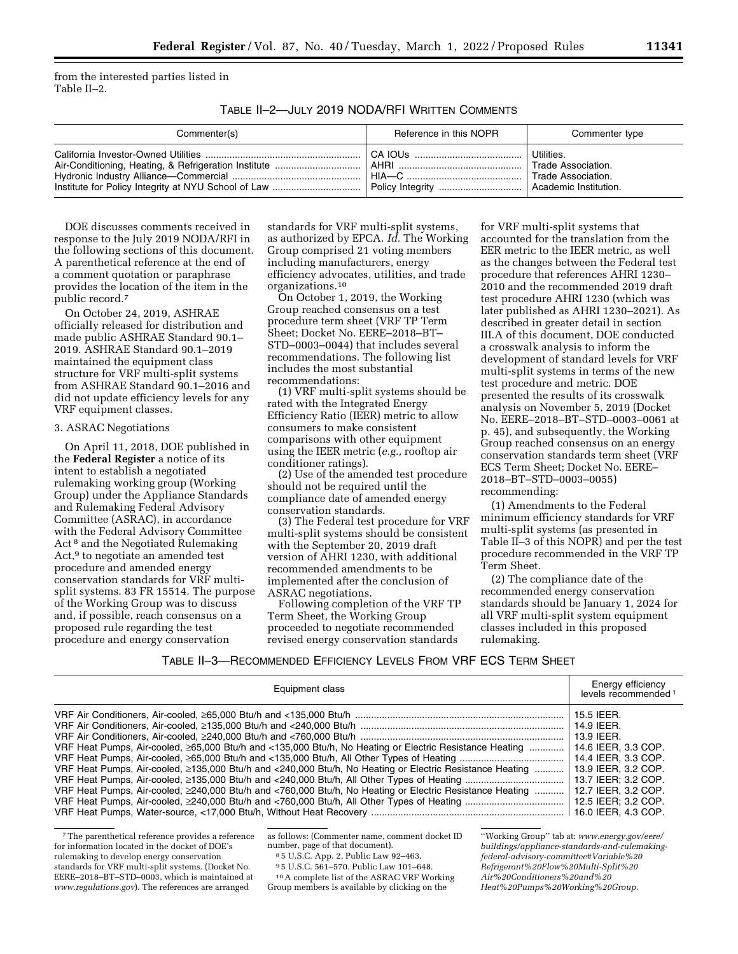from the interested parties listed in Table II–2.

TABLE II–2—JULY 2019 NODA/RFI WRITTEN COMMENTS

| Commenter(s) | Reference in this NOPR | Commenter type                                                                  |
|--------------|------------------------|---------------------------------------------------------------------------------|
|              | HIA—C ……………………………………   | Utilities.<br>Trade Association.<br>Trade Association.<br>Academic Institution. |

DOE discusses comments received in response to the July 2019 NODA/RFI in the following sections of this document. A parenthetical reference at the end of a comment quotation or paraphrase provides the location of the item in the public record.7

On October 24, 2019, ASHRAE officially released for distribution and made public ASHRAE Standard 90.1– 2019. ASHRAE Standard 90.1–2019 maintained the equipment class structure for VRF multi-split systems from ASHRAE Standard 90.1–2016 and did not update efficiency levels for any VRF equipment classes.

## 3. ASRAC Negotiations

On April 11, 2018, DOE published in the **Federal Register** a notice of its intent to establish a negotiated rulemaking working group (Working Group) under the Appliance Standards and Rulemaking Federal Advisory Committee (ASRAC), in accordance with the Federal Advisory Committee Act 8 and the Negotiated Rulemaking Act,<sup>9</sup> to negotiate an amended test procedure and amended energy conservation standards for VRF multisplit systems. 83 FR 15514. The purpose of the Working Group was to discuss and, if possible, reach consensus on a proposed rule regarding the test procedure and energy conservation

standards for VRF multi-split systems, as authorized by EPCA. *Id.* The Working Group comprised 21 voting members including manufacturers, energy efficiency advocates, utilities, and trade organizations.10

On October 1, 2019, the Working Group reached consensus on a test procedure term sheet (VRF TP Term Sheet; Docket No. EERE–2018–BT– STD–0003–0044) that includes several recommendations. The following list includes the most substantial recommendations:

(1) VRF multi-split systems should be rated with the Integrated Energy Efficiency Ratio (IEER) metric to allow consumers to make consistent comparisons with other equipment using the IEER metric (*e.g.,* rooftop air conditioner ratings).

(2) Use of the amended test procedure should not be required until the compliance date of amended energy conservation standards.

(3) The Federal test procedure for VRF multi-split systems should be consistent with the September 20, 2019 draft version of AHRI 1230, with additional recommended amendments to be implemented after the conclusion of ASRAC negotiations.

Following completion of the VRF TP Term Sheet, the Working Group proceeded to negotiate recommended revised energy conservation standards

for VRF multi-split systems that accounted for the translation from the EER metric to the IEER metric, as well as the changes between the Federal test procedure that references AHRI 1230– 2010 and the recommended 2019 draft test procedure AHRI 1230 (which was later published as AHRI 1230–2021). As described in greater detail in section III.A of this document, DOE conducted a crosswalk analysis to inform the development of standard levels for VRF multi-split systems in terms of the new test procedure and metric. DOE presented the results of its crosswalk analysis on November 5, 2019 (Docket No. EERE–2018–BT–STD–0003–0061 at p. 45), and subsequently, the Working Group reached consensus on an energy conservation standards term sheet (VRF ECS Term Sheet; Docket No. EERE– 2018–BT–STD–0003–0055) recommending:

(1) Amendments to the Federal minimum efficiency standards for VRF multi-split systems (as presented in Table II–3 of this NOPR) and per the test procedure recommended in the VRF TP Term Sheet.

(2) The compliance date of the recommended energy conservation standards should be January 1, 2024 for all VRF multi-split system equipment classes included in this proposed rulemaking.

TABLE II–3—RECOMMENDED EFFICIENCY LEVELS FROM VRF ECS TERM SHEET

| Equipment class                                                                                          | Energy efficiency<br>levels recommended <sup>1</sup> |
|----------------------------------------------------------------------------------------------------------|------------------------------------------------------|
|                                                                                                          | 15.5 IEER.                                           |
|                                                                                                          | 14.9 IEER.                                           |
|                                                                                                          | 13.9 IEER.                                           |
| VRF Heat Pumps, Air-cooled, ≥65,000 Btu/h and <135,000 Btu/h, No Heating or Electric Resistance Heating  | 14.6 IEER. 3.3 COP.                                  |
|                                                                                                          | 14.4 IEER. 3.3 COP.                                  |
| VRF Heat Pumps, Air-cooled, ≥135,000 Btu/h and <240,000 Btu/h, No Heating or Electric Resistance Heating | 13.9 IEER, 3.2 COP.                                  |
|                                                                                                          | 13.7 IEER: 3.2 COP.                                  |
| VRF Heat Pumps, Air-cooled, ≥240,000 Btu/h and <760,000 Btu/h, No Heating or Electric Resistance Heating | 12.7 IEER. 3.2 COP.                                  |
|                                                                                                          | 12.5 IEER; 3.2 COP.                                  |
|                                                                                                          | 16.0 IEER. 4.3 COP.                                  |

<sup>7</sup>The parenthetical reference provides a reference for information located in the docket of DOE's rulemaking to develop energy conservation standards for VRF multi-split systems. (Docket No. EERE–2018–BT–STD–0003, which is maintained at *[www.regulations.gov](http://www.regulations.gov)*). The references are arranged

as follows: (Commenter name, comment docket ID number, page of that document).

8 5 U.S.C. App. 2, Public Law 92–463.

9 5 U.S.C. 561–570, Public Law 101–648.

10A complete list of the ASRAC VRF Working Group members is available by clicking on the

''Working Group'' tab at: *[www.energy.gov/eere/](http://www.energy.gov/eere/buildings/appliance-standards-and-rulemaking-federal-advisory-committee#Variable%20Refrigerant%20Flow%20Multi-Split%20Air%20Conditioners%20and%20Heat%20Pumps%20Working%20Group) [buildings/appliance-standards-and-rulemaking](http://www.energy.gov/eere/buildings/appliance-standards-and-rulemaking-federal-advisory-committee#Variable%20Refrigerant%20Flow%20Multi-Split%20Air%20Conditioners%20and%20Heat%20Pumps%20Working%20Group)[federal-advisory-committee#Variable%20](http://www.energy.gov/eere/buildings/appliance-standards-and-rulemaking-federal-advisory-committee#Variable%20Refrigerant%20Flow%20Multi-Split%20Air%20Conditioners%20and%20Heat%20Pumps%20Working%20Group) [Refrigerant%20Flow%20Multi-Split%20](http://www.energy.gov/eere/buildings/appliance-standards-and-rulemaking-federal-advisory-committee#Variable%20Refrigerant%20Flow%20Multi-Split%20Air%20Conditioners%20and%20Heat%20Pumps%20Working%20Group) [Air%20Conditioners%20and%20](http://www.energy.gov/eere/buildings/appliance-standards-and-rulemaking-federal-advisory-committee#Variable%20Refrigerant%20Flow%20Multi-Split%20Air%20Conditioners%20and%20Heat%20Pumps%20Working%20Group) [Heat%20Pumps%20Working%20Group.](http://www.energy.gov/eere/buildings/appliance-standards-and-rulemaking-federal-advisory-committee#Variable%20Refrigerant%20Flow%20Multi-Split%20Air%20Conditioners%20and%20Heat%20Pumps%20Working%20Group)*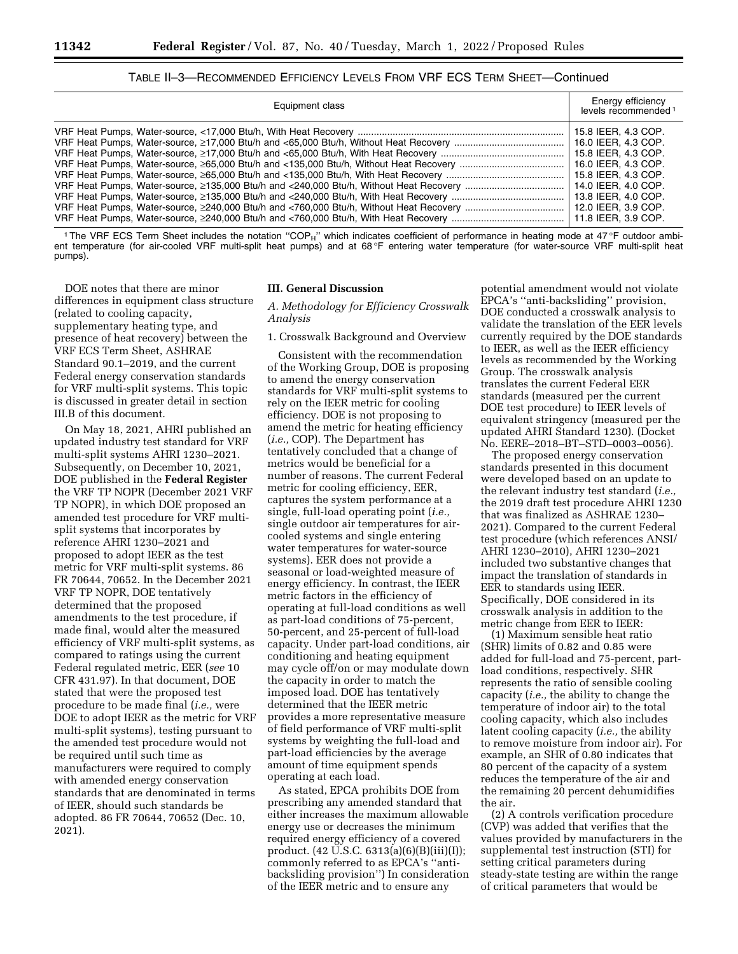| TABLE II–3—RECOMMENDED EFFICIENCY LEVELS FROM VRF ECS TERM SHEET—Continued |  |  |
|----------------------------------------------------------------------------|--|--|
|----------------------------------------------------------------------------|--|--|

| Equipment class | Energy efficiency<br>levels recommended <sup>1</sup> |
|-----------------|------------------------------------------------------|
|                 | 15.8 IEER, 4.3 COP.                                  |
|                 | 16.0 IEER, 4.3 COP.                                  |
|                 | 15.8 IEER, 4.3 COP.                                  |
|                 | 16.0 IEER, 4.3 COP.                                  |
|                 | 15.8 IEER, 4.3 COP.                                  |
|                 | 14.0 IEER, 4.0 COP.                                  |
|                 | 13.8 IEER, 4.0 COP.                                  |
|                 | 12.0 IEER, 3.9 COP.                                  |
|                 | 11.8 IEER, 3.9 COP.                                  |

<sup>1</sup>The VRF ECS Term Sheet includes the notation "COP<sub>H</sub>" which indicates coefficient of performance in heating mode at 47°F outdoor ambient temperature (for air-cooled VRF multi-split heat pumps) and at 68 °F entering water temperature (for water-source VRF multi-split heat pumps).

DOE notes that there are minor differences in equipment class structure (related to cooling capacity, supplementary heating type, and presence of heat recovery) between the VRF ECS Term Sheet, ASHRAE Standard 90.1–2019, and the current Federal energy conservation standards for VRF multi-split systems. This topic is discussed in greater detail in section III.B of this document.

On May 18, 2021, AHRI published an updated industry test standard for VRF multi-split systems AHRI 1230–2021. Subsequently, on December 10, 2021, DOE published in the **Federal Register**  the VRF TP NOPR (December 2021 VRF TP NOPR), in which DOE proposed an amended test procedure for VRF multisplit systems that incorporates by reference AHRI 1230–2021 and proposed to adopt IEER as the test metric for VRF multi-split systems. 86 FR 70644, 70652. In the December 2021 VRF TP NOPR, DOE tentatively determined that the proposed amendments to the test procedure, if made final, would alter the measured efficiency of VRF multi-split systems, as compared to ratings using the current Federal regulated metric, EER (*see* 10 CFR 431.97). In that document, DOE stated that were the proposed test procedure to be made final (*i.e.,* were DOE to adopt IEER as the metric for VRF multi-split systems), testing pursuant to the amended test procedure would not be required until such time as manufacturers were required to comply with amended energy conservation standards that are denominated in terms of IEER, should such standards be adopted. 86 FR 70644, 70652 (Dec. 10, 2021).

#### **III. General Discussion**

*A. Methodology for Efficiency Crosswalk Analysis* 

1. Crosswalk Background and Overview

Consistent with the recommendation of the Working Group, DOE is proposing to amend the energy conservation standards for VRF multi-split systems to rely on the IEER metric for cooling efficiency. DOE is not proposing to amend the metric for heating efficiency (*i.e.,* COP). The Department has tentatively concluded that a change of metrics would be beneficial for a number of reasons. The current Federal metric for cooling efficiency, EER, captures the system performance at a single, full-load operating point (*i.e.,*  single outdoor air temperatures for aircooled systems and single entering water temperatures for water-source systems). EER does not provide a seasonal or load-weighted measure of energy efficiency. In contrast, the IEER metric factors in the efficiency of operating at full-load conditions as well as part-load conditions of 75-percent, 50-percent, and 25-percent of full-load capacity. Under part-load conditions, air conditioning and heating equipment may cycle off/on or may modulate down the capacity in order to match the imposed load. DOE has tentatively determined that the IEER metric provides a more representative measure of field performance of VRF multi-split systems by weighting the full-load and part-load efficiencies by the average amount of time equipment spends operating at each load.

As stated, EPCA prohibits DOE from prescribing any amended standard that either increases the maximum allowable energy use or decreases the minimum required energy efficiency of a covered product. (42 U.S.C. 6313(a)(6)(B)(iii)(I)); commonly referred to as EPCA's ''antibacksliding provision'') In consideration of the IEER metric and to ensure any

potential amendment would not violate EPCA's ''anti-backsliding'' provision, DOE conducted a crosswalk analysis to validate the translation of the EER levels currently required by the DOE standards to IEER, as well as the IEER efficiency levels as recommended by the Working Group. The crosswalk analysis translates the current Federal EER standards (measured per the current DOE test procedure) to IEER levels of equivalent stringency (measured per the updated AHRI Standard 1230). (Docket No. EERE–2018–BT–STD–0003–0056).

The proposed energy conservation standards presented in this document were developed based on an update to the relevant industry test standard (*i.e.,*  the 2019 draft test procedure AHRI 1230 that was finalized as ASHRAE 1230– 2021). Compared to the current Federal test procedure (which references ANSI/ AHRI 1230–2010), AHRI 1230–2021 included two substantive changes that impact the translation of standards in EER to standards using IEER. Specifically, DOE considered in its crosswalk analysis in addition to the metric change from EER to IEER:

(1) Maximum sensible heat ratio (SHR) limits of 0.82 and 0.85 were added for full-load and 75-percent, partload conditions, respectively. SHR represents the ratio of sensible cooling capacity (*i.e.,* the ability to change the temperature of indoor air) to the total cooling capacity, which also includes latent cooling capacity (*i.e.,* the ability to remove moisture from indoor air). For example, an SHR of 0.80 indicates that 80 percent of the capacity of a system reduces the temperature of the air and the remaining 20 percent dehumidifies the air.

(2) A controls verification procedure (CVP) was added that verifies that the values provided by manufacturers in the supplemental test instruction (STI) for setting critical parameters during steady-state testing are within the range of critical parameters that would be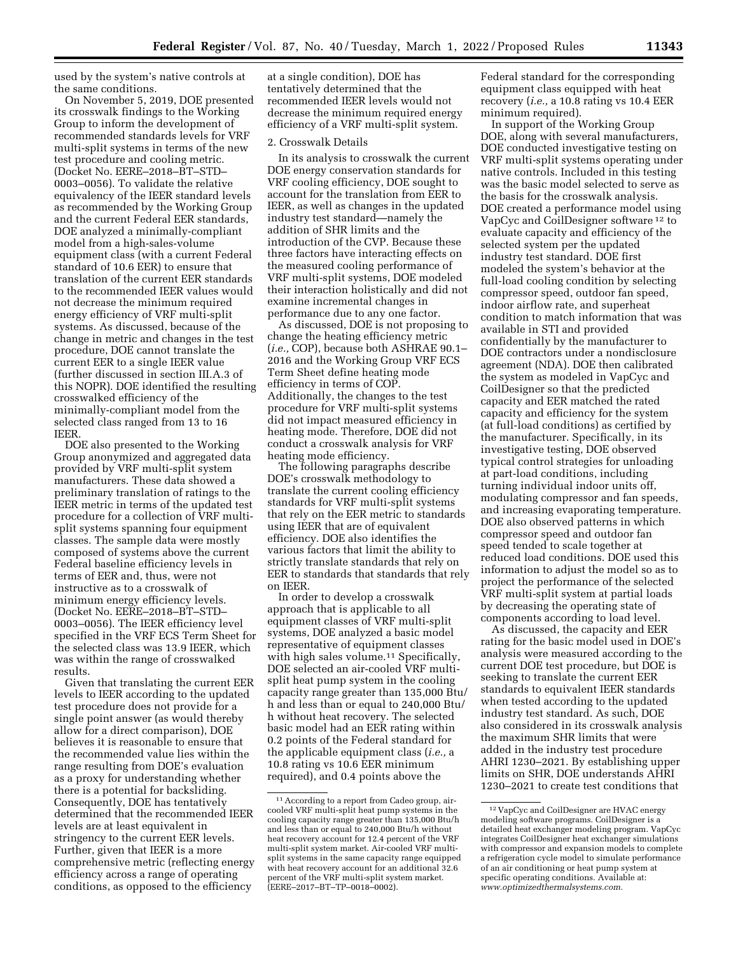used by the system's native controls at the same conditions.

On November 5, 2019, DOE presented its crosswalk findings to the Working Group to inform the development of recommended standards levels for VRF multi-split systems in terms of the new test procedure and cooling metric. (Docket No. EERE–2018–BT–STD– 0003–0056). To validate the relative equivalency of the IEER standard levels as recommended by the Working Group and the current Federal EER standards, DOE analyzed a minimally-compliant model from a high-sales-volume equipment class (with a current Federal standard of 10.6 EER) to ensure that translation of the current EER standards to the recommended IEER values would not decrease the minimum required energy efficiency of VRF multi-split systems. As discussed, because of the change in metric and changes in the test procedure, DOE cannot translate the current EER to a single IEER value (further discussed in section III.A.3 of this NOPR). DOE identified the resulting crosswalked efficiency of the minimally-compliant model from the selected class ranged from 13 to 16 IEER.

DOE also presented to the Working Group anonymized and aggregated data provided by VRF multi-split system manufacturers. These data showed a preliminary translation of ratings to the IEER metric in terms of the updated test procedure for a collection of VRF multisplit systems spanning four equipment classes. The sample data were mostly composed of systems above the current Federal baseline efficiency levels in terms of EER and, thus, were not instructive as to a crosswalk of minimum energy efficiency levels. (Docket No. EERE–2018–BT–STD– 0003–0056). The IEER efficiency level specified in the VRF ECS Term Sheet for the selected class was 13.9 IEER, which was within the range of crosswalked results.

Given that translating the current EER levels to IEER according to the updated test procedure does not provide for a single point answer (as would thereby allow for a direct comparison), DOE believes it is reasonable to ensure that the recommended value lies within the range resulting from DOE's evaluation as a proxy for understanding whether there is a potential for backsliding. Consequently, DOE has tentatively determined that the recommended IEER levels are at least equivalent in stringency to the current EER levels. Further, given that IEER is a more comprehensive metric (reflecting energy efficiency across a range of operating conditions, as opposed to the efficiency

at a single condition), DOE has tentatively determined that the recommended IEER levels would not decrease the minimum required energy efficiency of a VRF multi-split system.

## 2. Crosswalk Details

In its analysis to crosswalk the current DOE energy conservation standards for VRF cooling efficiency, DOE sought to account for the translation from EER to IEER, as well as changes in the updated industry test standard—namely the addition of SHR limits and the introduction of the CVP. Because these three factors have interacting effects on the measured cooling performance of VRF multi-split systems, DOE modeled their interaction holistically and did not examine incremental changes in performance due to any one factor.

As discussed, DOE is not proposing to change the heating efficiency metric (*i.e.,* COP), because both ASHRAE 90.1– 2016 and the Working Group VRF ECS Term Sheet define heating mode efficiency in terms of COP. Additionally, the changes to the test procedure for VRF multi-split systems did not impact measured efficiency in heating mode. Therefore, DOE did not conduct a crosswalk analysis for VRF heating mode efficiency.

The following paragraphs describe DOE's crosswalk methodology to translate the current cooling efficiency standards for VRF multi-split systems that rely on the EER metric to standards using IEER that are of equivalent efficiency. DOE also identifies the various factors that limit the ability to strictly translate standards that rely on EER to standards that standards that rely on IEER.

In order to develop a crosswalk approach that is applicable to all equipment classes of VRF multi-split systems, DOE analyzed a basic model representative of equipment classes with high sales volume.<sup>11</sup> Specifically, DOE selected an air-cooled VRF multisplit heat pump system in the cooling capacity range greater than 135,000 Btu/ h and less than or equal to 240,000 Btu/ h without heat recovery. The selected basic model had an EER rating within 0.2 points of the Federal standard for the applicable equipment class (*i.e.,* a 10.8 rating vs 10.6 EER minimum required), and 0.4 points above the

Federal standard for the corresponding equipment class equipped with heat recovery (*i.e.,* a 10.8 rating vs 10.4 EER minimum required).

In support of the Working Group DOE, along with several manufacturers, DOE conducted investigative testing on VRF multi-split systems operating under native controls. Included in this testing was the basic model selected to serve as the basis for the crosswalk analysis. DOE created a performance model using VapCyc and CoilDesigner software 12 to evaluate capacity and efficiency of the selected system per the updated industry test standard. DOE first modeled the system's behavior at the full-load cooling condition by selecting compressor speed, outdoor fan speed, indoor airflow rate, and superheat condition to match information that was available in STI and provided confidentially by the manufacturer to DOE contractors under a nondisclosure agreement (NDA). DOE then calibrated the system as modeled in VapCyc and CoilDesigner so that the predicted capacity and EER matched the rated capacity and efficiency for the system (at full-load conditions) as certified by the manufacturer. Specifically, in its investigative testing, DOE observed typical control strategies for unloading at part-load conditions, including turning individual indoor units off, modulating compressor and fan speeds, and increasing evaporating temperature. DOE also observed patterns in which compressor speed and outdoor fan speed tended to scale together at reduced load conditions. DOE used this information to adjust the model so as to project the performance of the selected VRF multi-split system at partial loads by decreasing the operating state of components according to load level.

As discussed, the capacity and EER rating for the basic model used in DOE's analysis were measured according to the current DOE test procedure, but DOE is seeking to translate the current EER standards to equivalent IEER standards when tested according to the updated industry test standard. As such, DOE also considered in its crosswalk analysis the maximum SHR limits that were added in the industry test procedure AHRI 1230–2021. By establishing upper limits on SHR, DOE understands AHRI 1230–2021 to create test conditions that

<sup>11</sup>According to a report from Cadeo group, aircooled VRF multi-split heat pump systems in the cooling capacity range greater than 135,000 Btu/h and less than or equal to 240,000 Btu/h without heat recovery account for 12.4 percent of the VRF multi-split system market. Air-cooled VRF multisplit systems in the same capacity range equipped with heat recovery account for an additional 32.6 percent of the VRF multi-split system market. (EERE–2017–BT–TP–0018–0002).

<sup>12</sup> VapCyc and CoilDesigner are HVAC energy modeling software programs. CoilDesigner is a detailed heat exchanger modeling program. VapCyc integrates CoilDesigner heat exchanger simulations with compressor and expansion models to complete a refrigeration cycle model to simulate performance of an air conditioning or heat pump system at specific operating conditions. Available at: *[www.optimizedthermalsystems.com.](http://www.optimizedthermalsystems.com)*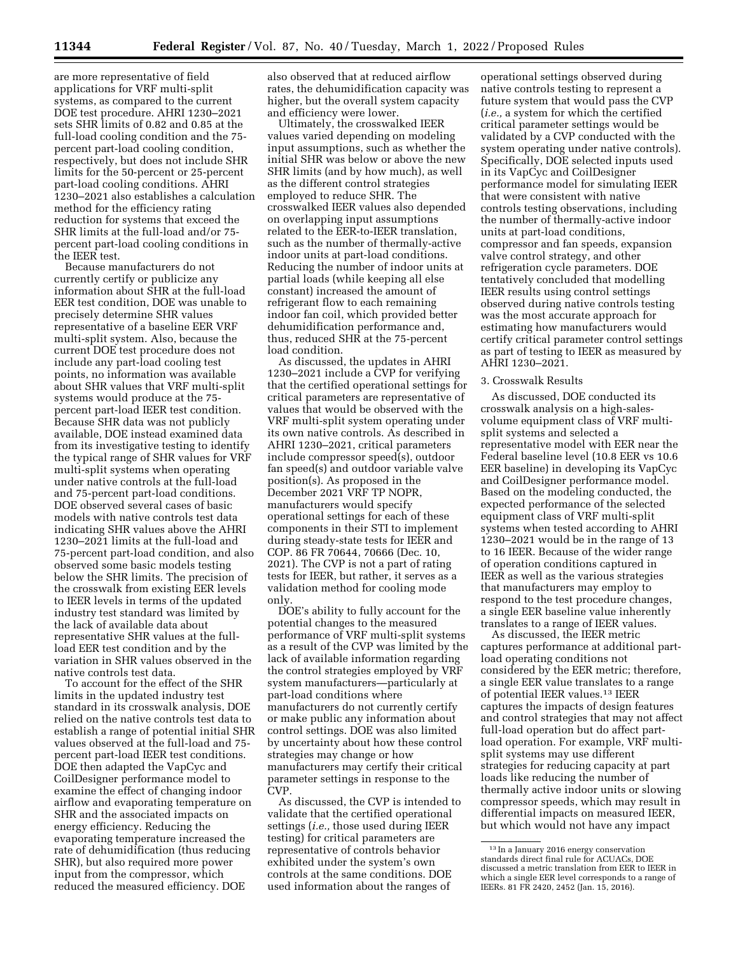are more representative of field applications for VRF multi-split systems, as compared to the current DOE test procedure. AHRI 1230–2021 sets SHR limits of 0.82 and 0.85 at the full-load cooling condition and the 75 percent part-load cooling condition, respectively, but does not include SHR limits for the 50-percent or 25-percent part-load cooling conditions. AHRI 1230–2021 also establishes a calculation method for the efficiency rating reduction for systems that exceed the SHR limits at the full-load and/or 75 percent part-load cooling conditions in the IEER test.

Because manufacturers do not currently certify or publicize any information about SHR at the full-load EER test condition, DOE was unable to precisely determine SHR values representative of a baseline EER VRF multi-split system. Also, because the current DOE test procedure does not include any part-load cooling test points, no information was available about SHR values that VRF multi-split systems would produce at the 75 percent part-load IEER test condition. Because SHR data was not publicly available, DOE instead examined data from its investigative testing to identify the typical range of SHR values for VRF multi-split systems when operating under native controls at the full-load and 75-percent part-load conditions. DOE observed several cases of basic models with native controls test data indicating SHR values above the AHRI 1230–2021 limits at the full-load and 75-percent part-load condition, and also observed some basic models testing below the SHR limits. The precision of the crosswalk from existing EER levels to IEER levels in terms of the updated industry test standard was limited by the lack of available data about representative SHR values at the fullload EER test condition and by the variation in SHR values observed in the native controls test data.

To account for the effect of the SHR limits in the updated industry test standard in its crosswalk analysis, DOE relied on the native controls test data to establish a range of potential initial SHR values observed at the full-load and 75 percent part-load IEER test conditions. DOE then adapted the VapCyc and CoilDesigner performance model to examine the effect of changing indoor airflow and evaporating temperature on SHR and the associated impacts on energy efficiency. Reducing the evaporating temperature increased the rate of dehumidification (thus reducing SHR), but also required more power input from the compressor, which reduced the measured efficiency. DOE

also observed that at reduced airflow rates, the dehumidification capacity was higher, but the overall system capacity and efficiency were lower.

Ultimately, the crosswalked IEER values varied depending on modeling input assumptions, such as whether the initial SHR was below or above the new SHR limits (and by how much), as well as the different control strategies employed to reduce SHR. The crosswalked IEER values also depended on overlapping input assumptions related to the EER-to-IEER translation, such as the number of thermally-active indoor units at part-load conditions. Reducing the number of indoor units at partial loads (while keeping all else constant) increased the amount of refrigerant flow to each remaining indoor fan coil, which provided better dehumidification performance and, thus, reduced SHR at the 75-percent load condition.

As discussed, the updates in AHRI 1230–2021 include a CVP for verifying that the certified operational settings for critical parameters are representative of values that would be observed with the VRF multi-split system operating under its own native controls. As described in AHRI 1230–2021, critical parameters include compressor speed(s), outdoor fan speed(s) and outdoor variable valve position(s). As proposed in the December 2021 VRF TP NOPR, manufacturers would specify operational settings for each of these components in their STI to implement during steady-state tests for IEER and COP. 86 FR 70644, 70666 (Dec. 10, 2021). The CVP is not a part of rating tests for IEER, but rather, it serves as a validation method for cooling mode only.

DOE's ability to fully account for the potential changes to the measured performance of VRF multi-split systems as a result of the CVP was limited by the lack of available information regarding the control strategies employed by VRF system manufacturers—particularly at part-load conditions where manufacturers do not currently certify or make public any information about control settings. DOE was also limited by uncertainty about how these control strategies may change or how manufacturers may certify their critical parameter settings in response to the CVP.

As discussed, the CVP is intended to validate that the certified operational settings (*i.e.,* those used during IEER testing) for critical parameters are representative of controls behavior exhibited under the system's own controls at the same conditions. DOE used information about the ranges of

operational settings observed during native controls testing to represent a future system that would pass the CVP (*i.e.,* a system for which the certified critical parameter settings would be validated by a CVP conducted with the system operating under native controls). Specifically, DOE selected inputs used in its VapCyc and CoilDesigner performance model for simulating IEER that were consistent with native controls testing observations, including the number of thermally-active indoor units at part-load conditions, compressor and fan speeds, expansion valve control strategy, and other refrigeration cycle parameters. DOE tentatively concluded that modelling IEER results using control settings observed during native controls testing was the most accurate approach for estimating how manufacturers would certify critical parameter control settings as part of testing to IEER as measured by AHRI 1230–2021.

#### 3. Crosswalk Results

As discussed, DOE conducted its crosswalk analysis on a high-salesvolume equipment class of VRF multisplit systems and selected a representative model with EER near the Federal baseline level (10.8 EER vs 10.6 EER baseline) in developing its VapCyc and CoilDesigner performance model. Based on the modeling conducted, the expected performance of the selected equipment class of VRF multi-split systems when tested according to AHRI 1230–2021 would be in the range of 13 to 16 IEER. Because of the wider range of operation conditions captured in IEER as well as the various strategies that manufacturers may employ to respond to the test procedure changes, a single EER baseline value inherently translates to a range of IEER values.

As discussed, the IEER metric captures performance at additional partload operating conditions not considered by the EER metric; therefore, a single EER value translates to a range of potential IEER values.13 IEER captures the impacts of design features and control strategies that may not affect full-load operation but do affect partload operation. For example, VRF multisplit systems may use different strategies for reducing capacity at part loads like reducing the number of thermally active indoor units or slowing compressor speeds, which may result in differential impacts on measured IEER, but which would not have any impact

<sup>13</sup> In a January 2016 energy conservation standards direct final rule for ACUACs, DOE discussed a metric translation from EER to IEER in which a single EER level corresponds to a range of IEERs. 81 FR 2420, 2452 (Jan. 15, 2016).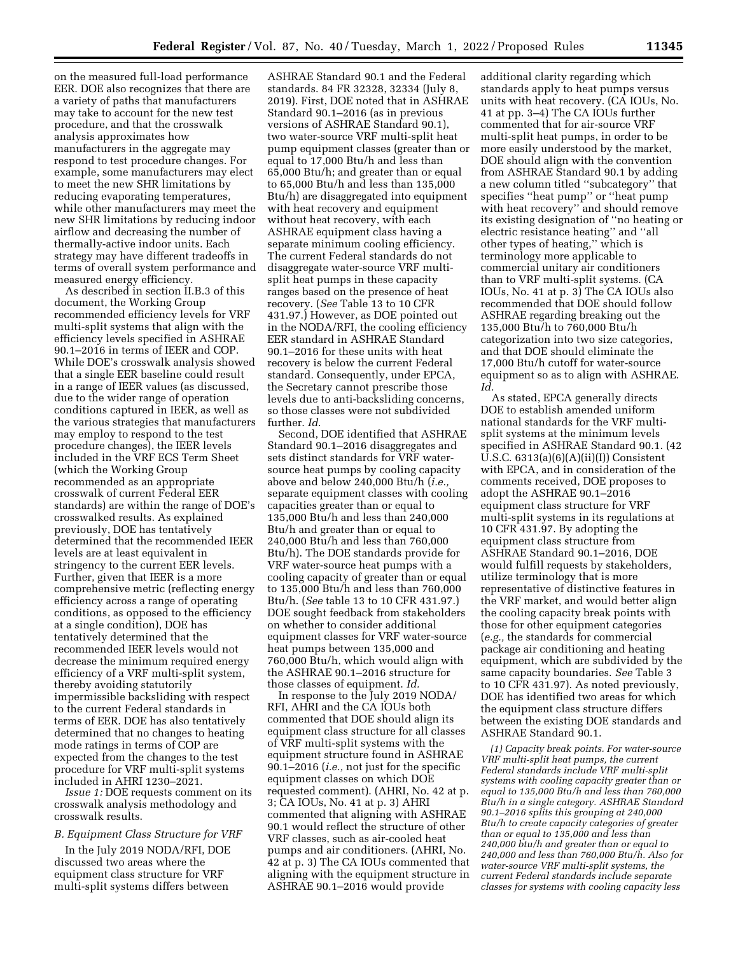on the measured full-load performance EER. DOE also recognizes that there are a variety of paths that manufacturers may take to account for the new test procedure, and that the crosswalk analysis approximates how manufacturers in the aggregate may respond to test procedure changes. For example, some manufacturers may elect to meet the new SHR limitations by reducing evaporating temperatures, while other manufacturers may meet the new SHR limitations by reducing indoor airflow and decreasing the number of thermally-active indoor units. Each strategy may have different tradeoffs in terms of overall system performance and measured energy efficiency.

As described in section II.B.3 of this document, the Working Group recommended efficiency levels for VRF multi-split systems that align with the efficiency levels specified in ASHRAE 90.1–2016 in terms of IEER and COP. While DOE's crosswalk analysis showed that a single EER baseline could result in a range of IEER values (as discussed, due to the wider range of operation conditions captured in IEER, as well as the various strategies that manufacturers may employ to respond to the test procedure changes), the IEER levels included in the VRF ECS Term Sheet (which the Working Group recommended as an appropriate crosswalk of current Federal EER standards) are within the range of DOE's crosswalked results. As explained previously, DOE has tentatively determined that the recommended IEER levels are at least equivalent in stringency to the current EER levels. Further, given that IEER is a more comprehensive metric (reflecting energy efficiency across a range of operating conditions, as opposed to the efficiency at a single condition), DOE has tentatively determined that the recommended IEER levels would not decrease the minimum required energy efficiency of a VRF multi-split system, thereby avoiding statutorily impermissible backsliding with respect to the current Federal standards in terms of EER. DOE has also tentatively determined that no changes to heating mode ratings in terms of COP are expected from the changes to the test procedure for VRF multi-split systems included in AHRI 1230–2021.

*Issue 1:* DOE requests comment on its crosswalk analysis methodology and crosswalk results.

# *B. Equipment Class Structure for VRF*

In the July 2019 NODA/RFI, DOE discussed two areas where the equipment class structure for VRF multi-split systems differs between

ASHRAE Standard 90.1 and the Federal standards. 84 FR 32328, 32334 (July 8, 2019). First, DOE noted that in ASHRAE Standard 90.1–2016 (as in previous versions of ASHRAE Standard 90.1), two water-source VRF multi-split heat pump equipment classes (greater than or equal to 17,000 Btu/h and less than 65,000 Btu/h; and greater than or equal to 65,000 Btu/h and less than 135,000 Btu/h) are disaggregated into equipment with heat recovery and equipment without heat recovery, with each ASHRAE equipment class having a separate minimum cooling efficiency. The current Federal standards do not disaggregate water-source VRF multisplit heat pumps in these capacity ranges based on the presence of heat recovery. (*See* Table 13 to 10 CFR 431.97.) However, as DOE pointed out in the NODA/RFI, the cooling efficiency EER standard in ASHRAE Standard 90.1–2016 for these units with heat recovery is below the current Federal standard. Consequently, under EPCA, the Secretary cannot prescribe those levels due to anti-backsliding concerns, so those classes were not subdivided further. *Id.* 

Second, DOE identified that ASHRAE Standard 90.1–2016 disaggregates and sets distinct standards for VRF watersource heat pumps by cooling capacity above and below 240,000 Btu/h (*i.e.,*  separate equipment classes with cooling capacities greater than or equal to 135,000 Btu/h and less than 240,000 Btu/h and greater than or equal to 240,000 Btu/h and less than 760,000 Btu/h). The DOE standards provide for VRF water-source heat pumps with a cooling capacity of greater than or equal to 135,000 Btu/h and less than 760,000 Btu/h. (*See* table 13 to 10 CFR 431.97.) DOE sought feedback from stakeholders on whether to consider additional equipment classes for VRF water-source heat pumps between 135,000 and 760,000 Btu/h, which would align with the ASHRAE 90.1–2016 structure for those classes of equipment. *Id.* 

In response to the July 2019 NODA/ RFI, AHRI and the CA IOUs both commented that DOE should align its equipment class structure for all classes of VRF multi-split systems with the equipment structure found in ASHRAE 90.1–2016 (*i.e.,* not just for the specific equipment classes on which DOE requested comment). (AHRI, No. 42 at p. 3; CA IOUs, No. 41 at p. 3) AHRI commented that aligning with ASHRAE 90.1 would reflect the structure of other VRF classes, such as air-cooled heat pumps and air conditioners. (AHRI, No. 42 at p. 3) The CA IOUs commented that aligning with the equipment structure in ASHRAE 90.1–2016 would provide

additional clarity regarding which standards apply to heat pumps versus units with heat recovery. (CA IOUs, No. 41 at pp. 3–4) The CA IOUs further commented that for air-source VRF multi-split heat pumps, in order to be more easily understood by the market, DOE should align with the convention from ASHRAE Standard 90.1 by adding a new column titled ''subcategory'' that specifies ''heat pump'' or ''heat pump with heat recovery" and should remove its existing designation of ''no heating or electric resistance heating'' and ''all other types of heating,'' which is terminology more applicable to commercial unitary air conditioners than to VRF multi-split systems. (CA IOUs, No. 41 at p. 3) The CA IOUs also recommended that DOE should follow ASHRAE regarding breaking out the 135,000 Btu/h to 760,000 Btu/h categorization into two size categories, and that DOE should eliminate the 17,000 Btu/h cutoff for water-source equipment so as to align with ASHRAE. *Id.* 

As stated, EPCA generally directs DOE to establish amended uniform national standards for the VRF multisplit systems at the minimum levels specified in ASHRAE Standard 90.1. (42 U.S.C.  $6313(a)(6)(A)(ii)(I))$  Consistent with EPCA, and in consideration of the comments received, DOE proposes to adopt the ASHRAE 90.1–2016 equipment class structure for VRF multi-split systems in its regulations at 10 CFR 431.97. By adopting the equipment class structure from ASHRAE Standard 90.1–2016, DOE would fulfill requests by stakeholders, utilize terminology that is more representative of distinctive features in the VRF market, and would better align the cooling capacity break points with those for other equipment categories (*e.g.,* the standards for commercial package air conditioning and heating equipment, which are subdivided by the same capacity boundaries. *See* Table 3 to 10 CFR 431.97). As noted previously, DOE has identified two areas for which the equipment class structure differs between the existing DOE standards and ASHRAE Standard 90.1.

*(1) Capacity break points. For water-source VRF multi-split heat pumps, the current Federal standards include VRF multi-split systems with cooling capacity greater than or equal to 135,000 Btu/h and less than 760,000 Btu/h in a single category. ASHRAE Standard 90.1–2016 splits this grouping at 240,000 Btu/h to create capacity categories of greater than or equal to 135,000 and less than 240,000 btu/h and greater than or equal to 240,000 and less than 760,000 Btu/h. Also for water-source VRF multi-split systems, the current Federal standards include separate classes for systems with cooling capacity less*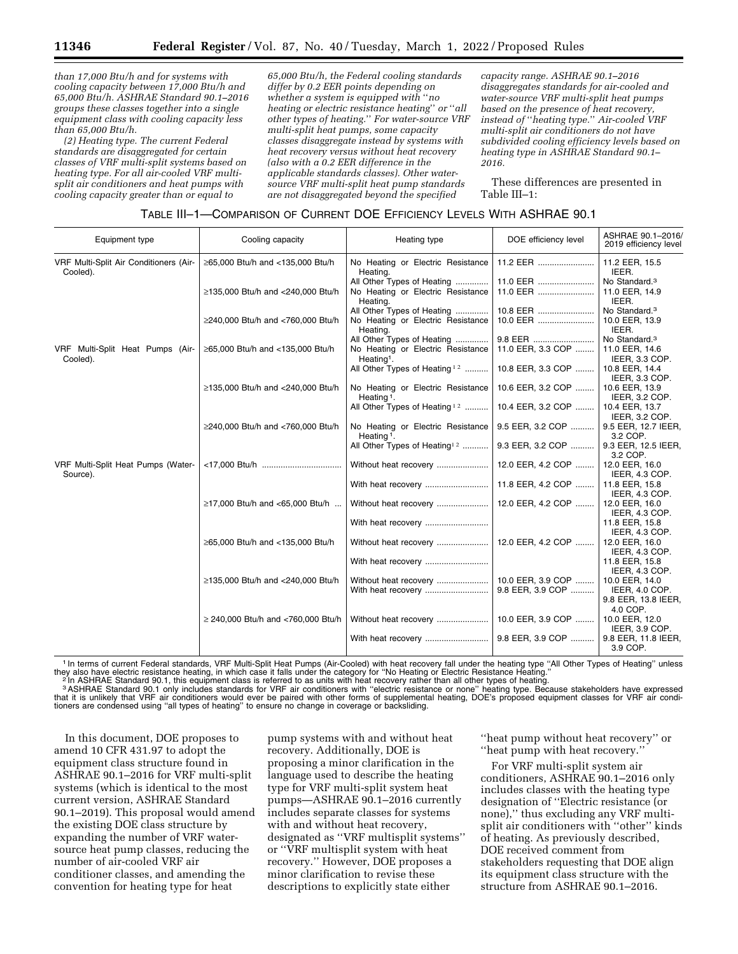*than 17,000 Btu/h and for systems with cooling capacity between 17,000 Btu/h and 65,000 Btu/h. ASHRAE Standard 90.1–2016 groups these classes together into a single equipment class with cooling capacity less than 65,000 Btu/h.* 

*(2) Heating type. The current Federal standards are disaggregated for certain classes of VRF multi-split systems based on heating type. For all air-cooled VRF multisplit air conditioners and heat pumps with cooling capacity greater than or equal to* 

*65,000 Btu/h, the Federal cooling standards differ by 0.2 EER points depending on whether a system is equipped with* ''*no heating or electric resistance heating*'' *or* ''*all other types of heating.*'' *For water-source VRF multi-split heat pumps, some capacity classes disaggregate instead by systems with heat recovery versus without heat recovery (also with a 0.2 EER difference in the applicable standards classes). Other watersource VRF multi-split heat pump standards are not disaggregated beyond the specified* 

*capacity range. ASHRAE 90.1–2016 disaggregates standards for air-cooled and water-source VRF multi-split heat pumps based on the presence of heat recovery, instead of* ''*heating type.*'' *Air-cooled VRF multi-split air conditioners do not have subdivided cooling efficiency levels based on heating type in ASHRAE Standard 90.1– 2016.* 

These differences are presented in Table III–1:

# TABLE III–1—COMPARISON OF CURRENT DOE EFFICIENCY LEVELS WITH ASHRAE 90.1

| Equipment type                                     | Cooling capacity                        | Heating type                                                                              | DOE efficiency level                                                      | ASHRAE 90.1-2016/<br>2019 efficiency level           |
|----------------------------------------------------|-----------------------------------------|-------------------------------------------------------------------------------------------|---------------------------------------------------------------------------|------------------------------------------------------|
| VRF Multi-Split Air Conditioners (Air-<br>Cooled). | ≥65,000 Btu/h and <135,000 Btu/h        | No Heating or Electric Resistance<br>Heating.                                             | 11.2 EER                                                                  | 11.2 EER, 15.5<br>IEER.                              |
|                                                    | ≥135,000 Btu/h and <240,000 Btu/h       | All Other Types of Heating<br>No Heating or Electric Resistance<br>Heating.               | 11.0 EER<br>11.0 EER                                                      | No Standard. <sup>3</sup><br>11.0 EER, 14.9<br>IEER. |
|                                                    | ≥240,000 Btu/h and <760,000 Btu/h       | All Other Types of Heating<br>No Heating or Electric Resistance<br>Heating.               | 10.8 EER<br>10.0 EER                                                      | No Standard. <sup>3</sup><br>10.0 EER, 13.9<br>IEER. |
| VRF Multi-Split Heat Pumps (Air-<br>Cooled).       | ≥65,000 Btu/h and <135,000 Btu/h        | All Other Types of Heating<br>No Heating or Electric Resistance<br>Heating <sup>1</sup> . | 9.8 EER    No Standard. <sup>3</sup><br>11.0 EER, 3.3 COP  11.0 EER, 14.6 | IEER, 3.3 COP.                                       |
|                                                    |                                         | All Other Types of Heating <sup>12</sup>                                                  | 10.8 EER, 3.3 COP  10.8 EER, 14.4                                         | IEER, 3.3 COP.                                       |
|                                                    | ≥135,000 Btu/h and <240,000 Btu/h       | No Heating or Electric Resistance<br>Heating <sup>1</sup> .                               | 10.6 EER, 3.2 COP    10.6 EER, 13.9                                       | IEER, 3.2 COP.                                       |
|                                                    |                                         | All Other Types of Heating <sup>12</sup>                                                  | 10.4 EER, 3.2 COP    10.4 EER, 13.7                                       | IEER, 3.2 COP.                                       |
|                                                    | ≥240,000 Btu/h and <760,000 Btu/h       | No Heating or Electric Resistance<br>Heating $1$ .                                        | 9.5 EER, 3.2 COP    9.5 EER, 12.7 IEER,                                   | 3.2 COP.                                             |
|                                                    |                                         | All Other Types of Heating <sup>12</sup>                                                  | 9.3 EER, 3.2 COP    9.3 EER, 12.5 IEER,                                   | 3.2 COP.                                             |
| VRF Multi-Split Heat Pumps (Water-<br>Source).     |                                         | Without heat recovery                                                                     | 12.0 EER, 4.2 COP  12.0 EER, 16.0                                         | IEER, 4.3 COP.                                       |
|                                                    |                                         | With heat recovery                                                                        | 11.8 EER, 4.2 COP  11.8 EER, 15.8                                         | IEER, 4.3 COP.                                       |
|                                                    | ≥17,000 Btu/h and <65,000 Btu/h         | Without heat recovery                                                                     | 12.0 EER, 4.2 COP    12.0 EER, 16.0                                       | IEER, 4.3 COP.                                       |
|                                                    |                                         | With heat recovery                                                                        |                                                                           | 11.8 EER, 15.8<br>IEER, 4.3 COP.                     |
|                                                    | ≥65,000 Btu/h and <135,000 Btu/h        |                                                                                           | 12.0 EER, 4.2 COP    12.0 EER, 16.0                                       | IEER, 4.3 COP.                                       |
|                                                    |                                         | With heat recovery                                                                        |                                                                           | 11.8 EER, 15.8<br>IEER, 4.3 COP.                     |
|                                                    | ≥135,000 Btu/h and <240,000 Btu/h       | Without heat recovery                                                                     | 10.0 EER, 3.9 COP    10.0 EER, 14.0<br>9.8 EER, 3.9 COP                   | IEER, 4.0 COP.<br>9.8 EER, 13.8 IEER,                |
|                                                    | $\geq$ 240,000 Btu/h and <760,000 Btu/h |                                                                                           | 10.0 EER, 3.9 COP    10.0 EER, 12.0                                       | 4.0 COP.                                             |
|                                                    |                                         |                                                                                           | 9.8 EER, 3.9 COP                                                          | IEER, 3.9 COP.<br>9.8 EER, 11.8 IEER,<br>3.9 COP.    |

<sup>1</sup> In terms of current Federal standards, VRF Multi-Split Heat Pumps (Air-Cooled) with heat recovery fall under the heating type "All Other Types of Heating" unless they also have electric resistance heating, in which cas

they also have electric resistance heating, in which case it falls under the category for "No Heating or Electric Resistance Heating."<br><sup>2</sup> In ASHRAE Standard 90.1, this equipment class is referred to as units with heat rec tioners are condensed using ''all types of heating'' to ensure no change in coverage or backsliding.

In this document, DOE proposes to amend 10 CFR 431.97 to adopt the equipment class structure found in ASHRAE 90.1–2016 for VRF multi-split systems (which is identical to the most current version, ASHRAE Standard 90.1–2019). This proposal would amend the existing DOE class structure by expanding the number of VRF watersource heat pump classes, reducing the number of air-cooled VRF air conditioner classes, and amending the convention for heating type for heat

pump systems with and without heat recovery. Additionally, DOE is proposing a minor clarification in the language used to describe the heating type for VRF multi-split system heat pumps—ASHRAE 90.1–2016 currently includes separate classes for systems with and without heat recovery, designated as ''VRF multisplit systems'' or ''VRF multisplit system with heat recovery.'' However, DOE proposes a minor clarification to revise these descriptions to explicitly state either

''heat pump without heat recovery'' or ''heat pump with heat recovery.''

For VRF multi-split system air conditioners, ASHRAE 90.1–2016 only includes classes with the heating type designation of ''Electric resistance (or none),'' thus excluding any VRF multisplit air conditioners with ''other'' kinds of heating. As previously described, DOE received comment from stakeholders requesting that DOE align its equipment class structure with the structure from ASHRAE 90.1–2016.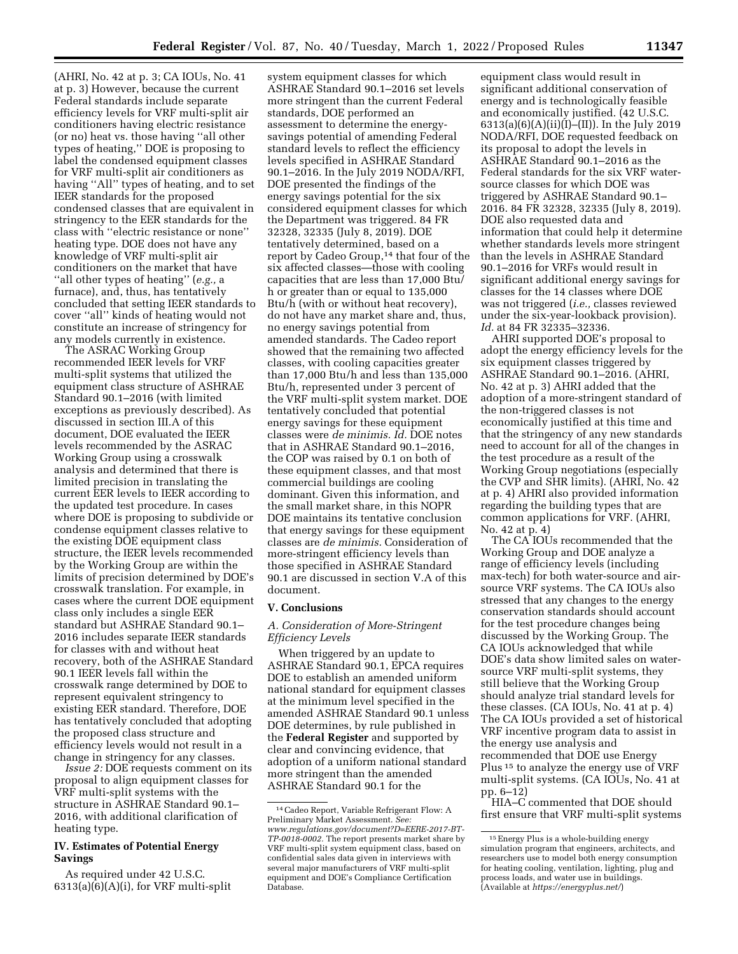(AHRI, No. 42 at p. 3; CA IOUs, No. 41 at p. 3) However, because the current Federal standards include separate efficiency levels for VRF multi-split air conditioners having electric resistance (or no) heat vs. those having ''all other types of heating,'' DOE is proposing to label the condensed equipment classes for VRF multi-split air conditioners as having "All" types of heating, and to set IEER standards for the proposed condensed classes that are equivalent in stringency to the EER standards for the class with ''electric resistance or none'' heating type. DOE does not have any knowledge of VRF multi-split air conditioners on the market that have ''all other types of heating'' (*e.g.,* a furnace), and, thus, has tentatively concluded that setting IEER standards to cover ''all'' kinds of heating would not constitute an increase of stringency for any models currently in existence.

The ASRAC Working Group recommended IEER levels for VRF multi-split systems that utilized the equipment class structure of ASHRAE Standard 90.1–2016 (with limited exceptions as previously described). As discussed in section III.A of this document, DOE evaluated the IEER levels recommended by the ASRAC Working Group using a crosswalk analysis and determined that there is limited precision in translating the current EER levels to IEER according to the updated test procedure. In cases where DOE is proposing to subdivide or condense equipment classes relative to the existing DOE equipment class structure, the IEER levels recommended by the Working Group are within the limits of precision determined by DOE's crosswalk translation. For example, in cases where the current DOE equipment class only includes a single EER standard but ASHRAE Standard 90.1– 2016 includes separate IEER standards for classes with and without heat recovery, both of the ASHRAE Standard 90.1 IEER levels fall within the crosswalk range determined by DOE to represent equivalent stringency to existing EER standard. Therefore, DOE has tentatively concluded that adopting the proposed class structure and efficiency levels would not result in a change in stringency for any classes.

*Issue 2:* DOE requests comment on its proposal to align equipment classes for VRF multi-split systems with the structure in ASHRAE Standard 90.1– 2016, with additional clarification of heating type.

## **IV. Estimates of Potential Energy Savings**

As required under 42 U.S.C.  $6313(a)(6)(A)(i)$ , for VRF multi-split

system equipment classes for which ASHRAE Standard 90.1–2016 set levels more stringent than the current Federal standards, DOE performed an assessment to determine the energysavings potential of amending Federal standard levels to reflect the efficiency levels specified in ASHRAE Standard 90.1–2016. In the July 2019 NODA/RFI, DOE presented the findings of the energy savings potential for the six considered equipment classes for which the Department was triggered. 84 FR 32328, 32335 (July 8, 2019). DOE tentatively determined, based on a report by Cadeo Group,<sup>14</sup> that four of the six affected classes—those with cooling capacities that are less than 17,000 Btu/ h or greater than or equal to 135,000 Btu/h (with or without heat recovery), do not have any market share and, thus, no energy savings potential from amended standards. The Cadeo report showed that the remaining two affected classes, with cooling capacities greater than 17,000 Btu/h and less than 135,000 Btu/h, represented under 3 percent of the VRF multi-split system market. DOE tentatively concluded that potential energy savings for these equipment classes were *de minimis. Id.* DOE notes that in ASHRAE Standard 90.1–2016, the COP was raised by 0.1 on both of these equipment classes, and that most commercial buildings are cooling dominant. Given this information, and the small market share, in this NOPR DOE maintains its tentative conclusion that energy savings for these equipment classes are *de minimis.* Consideration of more-stringent efficiency levels than those specified in ASHRAE Standard 90.1 are discussed in section V.A of this document.

# **V. Conclusions**

## *A. Consideration of More-Stringent Efficiency Levels*

When triggered by an update to ASHRAE Standard 90.1, EPCA requires DOE to establish an amended uniform national standard for equipment classes at the minimum level specified in the amended ASHRAE Standard 90.1 unless DOE determines, by rule published in the **Federal Register** and supported by clear and convincing evidence, that adoption of a uniform national standard more stringent than the amended ASHRAE Standard 90.1 for the

equipment class would result in significant additional conservation of energy and is technologically feasible and economically justified. (42 U.S.C. 6313(a)(6)(A)(ii)(I)–(II)). In the July 2019 NODA/RFI, DOE requested feedback on its proposal to adopt the levels in ASHRAE Standard 90.1–2016 as the Federal standards for the six VRF watersource classes for which DOE was triggered by ASHRAE Standard 90.1– 2016. 84 FR 32328, 32335 (July 8, 2019). DOE also requested data and information that could help it determine whether standards levels more stringent than the levels in ASHRAE Standard 90.1–2016 for VRFs would result in significant additional energy savings for classes for the 14 classes where DOE was not triggered (*i.e.,* classes reviewed under the six-year-lookback provision). *Id.* at 84 FR 32335–32336.

AHRI supported DOE's proposal to adopt the energy efficiency levels for the six equipment classes triggered by ASHRAE Standard 90.1–2016. (AHRI, No. 42 at p. 3) AHRI added that the adoption of a more-stringent standard of the non-triggered classes is not economically justified at this time and that the stringency of any new standards need to account for all of the changes in the test procedure as a result of the Working Group negotiations (especially the CVP and SHR limits). (AHRI, No. 42 at p. 4) AHRI also provided information regarding the building types that are common applications for VRF. (AHRI, No. 42 at p. 4)

The CA IOUs recommended that the Working Group and DOE analyze a range of efficiency levels (including max-tech) for both water-source and airsource VRF systems. The CA IOUs also stressed that any changes to the energy conservation standards should account for the test procedure changes being discussed by the Working Group. The CA IOUs acknowledged that while DOE's data show limited sales on watersource VRF multi-split systems, they still believe that the Working Group should analyze trial standard levels for these classes. (CA IOUs, No. 41 at p. 4) The CA IOUs provided a set of historical VRF incentive program data to assist in the energy use analysis and recommended that DOE use Energy Plus 15 to analyze the energy use of VRF multi-split systems. (CA IOUs, No. 41 at pp. 6–12)

HIA–C commented that DOE should first ensure that VRF multi-split systems

<sup>14</sup>Cadeo Report, Variable Refrigerant Flow: A Preliminary Market Assessment. *See: [www.regulations.gov/document?D=EERE-2017-BT-](http://www.regulations.gov/document?D=EERE-2017-BT-TP-0018-0002)[TP-0018-0002.](http://www.regulations.gov/document?D=EERE-2017-BT-TP-0018-0002)* The report presents market share by VRF multi-split system equipment class, based on confidential sales data given in interviews with several major manufacturers of VRF multi-split equipment and DOE's Compliance Certification Database.

<sup>15</sup>Energy Plus is a whole-building energy simulation program that engineers, architects, and researchers use to model both energy consumption for heating cooling, ventilation, lighting, plug and process loads, and water use in buildings. (Available at *<https://energyplus.net/>*)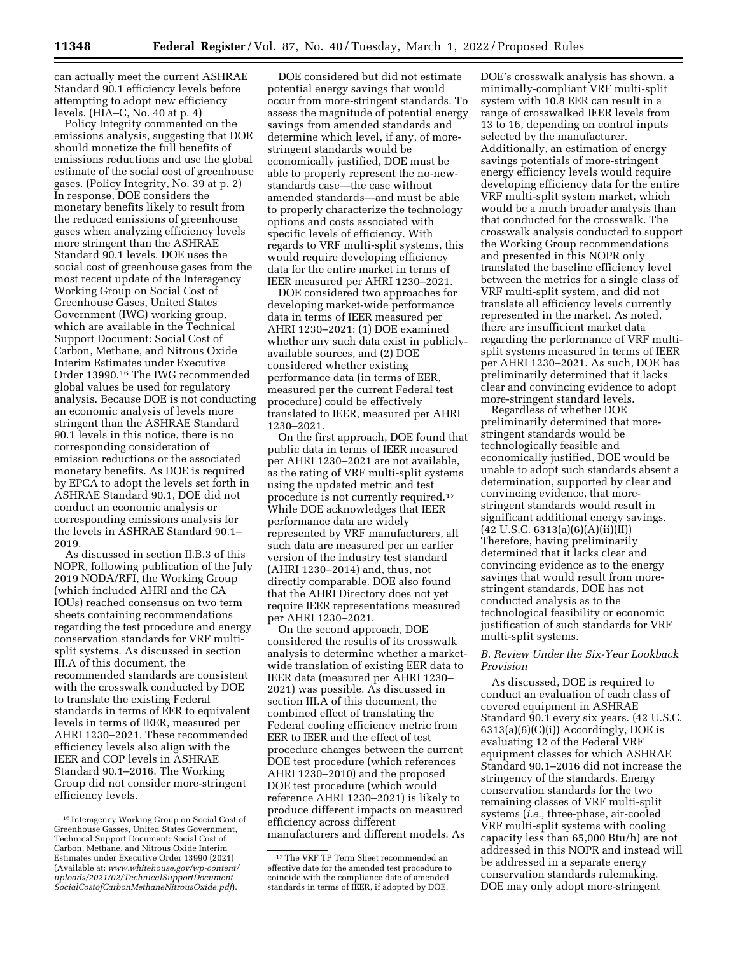can actually meet the current ASHRAE Standard 90.1 efficiency levels before attempting to adopt new efficiency levels. (HIA–C, No. 40 at p. 4)

Policy Integrity commented on the emissions analysis, suggesting that DOE should monetize the full benefits of emissions reductions and use the global estimate of the social cost of greenhouse gases. (Policy Integrity, No. 39 at p. 2) In response, DOE considers the monetary benefits likely to result from the reduced emissions of greenhouse gases when analyzing efficiency levels more stringent than the ASHRAE Standard 90.1 levels. DOE uses the social cost of greenhouse gases from the most recent update of the Interagency Working Group on Social Cost of Greenhouse Gases, United States Government (IWG) working group, which are available in the Technical Support Document: Social Cost of Carbon, Methane, and Nitrous Oxide Interim Estimates under Executive Order 13990.16 The IWG recommended global values be used for regulatory analysis. Because DOE is not conducting an economic analysis of levels more stringent than the ASHRAE Standard 90.1 levels in this notice, there is no corresponding consideration of emission reductions or the associated monetary benefits. As DOE is required by EPCA to adopt the levels set forth in ASHRAE Standard 90.1, DOE did not conduct an economic analysis or corresponding emissions analysis for the levels in ASHRAE Standard 90.1– 2019.

As discussed in section II.B.3 of this NOPR, following publication of the July 2019 NODA/RFI, the Working Group (which included AHRI and the CA IOUs) reached consensus on two term sheets containing recommendations regarding the test procedure and energy conservation standards for VRF multisplit systems. As discussed in section III.A of this document, the recommended standards are consistent with the crosswalk conducted by DOE to translate the existing Federal standards in terms of EER to equivalent levels in terms of IEER, measured per AHRI 1230–2021. These recommended efficiency levels also align with the IEER and COP levels in ASHRAE Standard 90.1–2016. The Working Group did not consider more-stringent efficiency levels.

DOE considered but did not estimate potential energy savings that would occur from more-stringent standards. To assess the magnitude of potential energy savings from amended standards and determine which level, if any, of morestringent standards would be economically justified, DOE must be able to properly represent the no-newstandards case—the case without amended standards—and must be able to properly characterize the technology options and costs associated with specific levels of efficiency. With regards to VRF multi-split systems, this would require developing efficiency data for the entire market in terms of IEER measured per AHRI 1230–2021.

DOE considered two approaches for developing market-wide performance data in terms of IEER measured per AHRI 1230–2021: (1) DOE examined whether any such data exist in publiclyavailable sources, and (2) DOE considered whether existing performance data (in terms of EER, measured per the current Federal test procedure) could be effectively translated to IEER, measured per AHRI 1230–2021.

On the first approach, DOE found that public data in terms of IEER measured per AHRI 1230–2021 are not available, as the rating of VRF multi-split systems using the updated metric and test procedure is not currently required.17 While DOE acknowledges that IEER performance data are widely represented by VRF manufacturers, all such data are measured per an earlier version of the industry test standard (AHRI 1230–2014) and, thus, not directly comparable. DOE also found that the AHRI Directory does not yet require IEER representations measured per AHRI 1230–2021.

On the second approach, DOE considered the results of its crosswalk analysis to determine whether a marketwide translation of existing EER data to IEER data (measured per AHRI 1230– 2021) was possible. As discussed in section III.A of this document, the combined effect of translating the Federal cooling efficiency metric from EER to IEER and the effect of test procedure changes between the current DOE test procedure (which references AHRI 1230–2010) and the proposed DOE test procedure (which would reference AHRI 1230–2021) is likely to produce different impacts on measured efficiency across different manufacturers and different models. As

DOE's crosswalk analysis has shown, a minimally-compliant VRF multi-split system with 10.8 EER can result in a range of crosswalked IEER levels from 13 to 16, depending on control inputs selected by the manufacturer. Additionally, an estimation of energy savings potentials of more-stringent energy efficiency levels would require developing efficiency data for the entire VRF multi-split system market, which would be a much broader analysis than that conducted for the crosswalk. The crosswalk analysis conducted to support the Working Group recommendations and presented in this NOPR only translated the baseline efficiency level between the metrics for a single class of VRF multi-split system, and did not translate all efficiency levels currently represented in the market. As noted, there are insufficient market data regarding the performance of VRF multisplit systems measured in terms of IEER per AHRI 1230–2021. As such, DOE has preliminarily determined that it lacks clear and convincing evidence to adopt more-stringent standard levels.

Regardless of whether DOE preliminarily determined that morestringent standards would be technologically feasible and economically justified, DOE would be unable to adopt such standards absent a determination, supported by clear and convincing evidence, that morestringent standards would result in significant additional energy savings.  $(42 \text{ U.S.C. } 6313(a)(6)(A)(ii)(II))$ Therefore, having preliminarily determined that it lacks clear and convincing evidence as to the energy savings that would result from morestringent standards, DOE has not conducted analysis as to the technological feasibility or economic justification of such standards for VRF multi-split systems.

# *B. Review Under the Six-Year Lookback Provision*

As discussed, DOE is required to conduct an evaluation of each class of covered equipment in ASHRAE Standard 90.1 every six years. (42 U.S.C.  $6313(a)(6)(C)(i)$ ) Accordingly, DOE is evaluating 12 of the Federal VRF equipment classes for which ASHRAE Standard 90.1–2016 did not increase the stringency of the standards. Energy conservation standards for the two remaining classes of VRF multi-split systems (*i.e.,* three-phase, air-cooled VRF multi-split systems with cooling capacity less than 65,000 Btu/h) are not addressed in this NOPR and instead will be addressed in a separate energy conservation standards rulemaking. DOE may only adopt more-stringent

<sup>16</sup> Interagency Working Group on Social Cost of Greenhouse Gasses, United States Government, Technical Support Document: Social Cost of Carbon, Methane, and Nitrous Oxide Interim Estimates under Executive Order 13990 (2021) (Available at: *[www.whitehouse.gov/wp-content/](http://www.whitehouse.gov/wp-content/uploads/2021/02/TechnicalSupportDocument_SocialCostofCarbonMethaneNitrousOxide.pdf)  [uploads/2021/02/TechnicalSupportDocument](http://www.whitehouse.gov/wp-content/uploads/2021/02/TechnicalSupportDocument_SocialCostofCarbonMethaneNitrousOxide.pdf)*\_ *[SocialCostofCarbonMethaneNitrousOxide.pdf](http://www.whitehouse.gov/wp-content/uploads/2021/02/TechnicalSupportDocument_SocialCostofCarbonMethaneNitrousOxide.pdf)*).

<sup>17</sup>The VRF TP Term Sheet recommended an effective date for the amended test procedure to coincide with the compliance date of amended standards in terms of IEER, if adopted by DOE.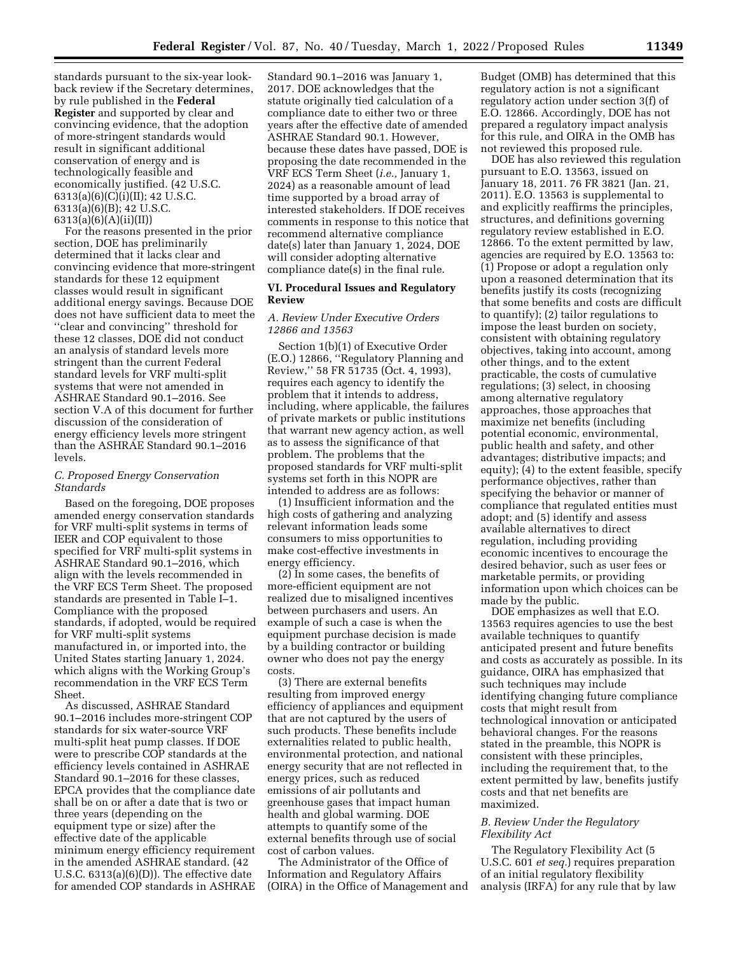standards pursuant to the six-year lookback review if the Secretary determines, by rule published in the **Federal Register** and supported by clear and convincing evidence, that the adoption of more-stringent standards would result in significant additional conservation of energy and is technologically feasible and economically justified. (42 U.S.C. 6313(a)(6)(C)(i)(II); 42 U.S.C. 6313(a)(6)(B); 42 U.S.C. 6313(a)(6)(A)(ii)(II))

For the reasons presented in the prior section, DOE has preliminarily determined that it lacks clear and convincing evidence that more-stringent standards for these 12 equipment classes would result in significant additional energy savings. Because DOE does not have sufficient data to meet the ''clear and convincing'' threshold for these 12 classes, DOE did not conduct an analysis of standard levels more stringent than the current Federal standard levels for VRF multi-split systems that were not amended in ASHRAE Standard 90.1–2016. See section V.A of this document for further discussion of the consideration of energy efficiency levels more stringent than the ASHRAE Standard 90.1–2016 levels.

## *C. Proposed Energy Conservation Standards*

Based on the foregoing, DOE proposes amended energy conservation standards for VRF multi-split systems in terms of IEER and COP equivalent to those specified for VRF multi-split systems in ASHRAE Standard 90.1–2016, which align with the levels recommended in the VRF ECS Term Sheet. The proposed standards are presented in Table I–1. Compliance with the proposed standards, if adopted, would be required for VRF multi-split systems manufactured in, or imported into, the United States starting January 1, 2024. which aligns with the Working Group's recommendation in the VRF ECS Term Sheet.

As discussed, ASHRAE Standard 90.1–2016 includes more-stringent COP standards for six water-source VRF multi-split heat pump classes. If DOE were to prescribe COP standards at the efficiency levels contained in ASHRAE Standard 90.1–2016 for these classes, EPCA provides that the compliance date shall be on or after a date that is two or three years (depending on the equipment type or size) after the effective date of the applicable minimum energy efficiency requirement in the amended ASHRAE standard. (42 U.S.C. 6313(a)(6)(D)). The effective date for amended COP standards in ASHRAE

Standard 90.1–2016 was January 1, 2017. DOE acknowledges that the statute originally tied calculation of a compliance date to either two or three years after the effective date of amended ASHRAE Standard 90.1. However, because these dates have passed, DOE is proposing the date recommended in the VRF ECS Term Sheet (*i.e.,* January 1, 2024) as a reasonable amount of lead time supported by a broad array of interested stakeholders. If DOE receives comments in response to this notice that recommend alternative compliance date(s) later than January 1, 2024, DOE will consider adopting alternative compliance date(s) in the final rule.

## **VI. Procedural Issues and Regulatory Review**

## *A. Review Under Executive Orders 12866 and 13563*

Section 1(b)(1) of Executive Order (E.O.) 12866, ''Regulatory Planning and Review,'' 58 FR 51735 (Oct. 4, 1993), requires each agency to identify the problem that it intends to address, including, where applicable, the failures of private markets or public institutions that warrant new agency action, as well as to assess the significance of that problem. The problems that the proposed standards for VRF multi-split systems set forth in this NOPR are intended to address are as follows:

(1) Insufficient information and the high costs of gathering and analyzing relevant information leads some consumers to miss opportunities to make cost-effective investments in energy efficiency.

(2) In some cases, the benefits of more-efficient equipment are not realized due to misaligned incentives between purchasers and users. An example of such a case is when the equipment purchase decision is made by a building contractor or building owner who does not pay the energy costs.

(3) There are external benefits resulting from improved energy efficiency of appliances and equipment that are not captured by the users of such products. These benefits include externalities related to public health, environmental protection, and national energy security that are not reflected in energy prices, such as reduced emissions of air pollutants and greenhouse gases that impact human health and global warming. DOE attempts to quantify some of the external benefits through use of social cost of carbon values.

The Administrator of the Office of Information and Regulatory Affairs (OIRA) in the Office of Management and Budget (OMB) has determined that this regulatory action is not a significant regulatory action under section 3(f) of E.O. 12866. Accordingly, DOE has not prepared a regulatory impact analysis for this rule, and OIRA in the OMB has not reviewed this proposed rule.

DOE has also reviewed this regulation pursuant to E.O. 13563, issued on January 18, 2011. 76 FR 3821 (Jan. 21, 2011). E.O. 13563 is supplemental to and explicitly reaffirms the principles, structures, and definitions governing regulatory review established in E.O. 12866. To the extent permitted by law, agencies are required by E.O. 13563 to: (1) Propose or adopt a regulation only upon a reasoned determination that its benefits justify its costs (recognizing that some benefits and costs are difficult to quantify); (2) tailor regulations to impose the least burden on society, consistent with obtaining regulatory objectives, taking into account, among other things, and to the extent practicable, the costs of cumulative regulations; (3) select, in choosing among alternative regulatory approaches, those approaches that maximize net benefits (including potential economic, environmental, public health and safety, and other advantages; distributive impacts; and equity); (4) to the extent feasible, specify performance objectives, rather than specifying the behavior or manner of compliance that regulated entities must adopt; and (5) identify and assess available alternatives to direct regulation, including providing economic incentives to encourage the desired behavior, such as user fees or marketable permits, or providing information upon which choices can be made by the public.

DOE emphasizes as well that E.O. 13563 requires agencies to use the best available techniques to quantify anticipated present and future benefits and costs as accurately as possible. In its guidance, OIRA has emphasized that such techniques may include identifying changing future compliance costs that might result from technological innovation or anticipated behavioral changes. For the reasons stated in the preamble, this NOPR is consistent with these principles, including the requirement that, to the extent permitted by law, benefits justify costs and that net benefits are maximized.

# *B. Review Under the Regulatory Flexibility Act*

The Regulatory Flexibility Act (5 U.S.C. 601 *et seq.*) requires preparation of an initial regulatory flexibility analysis (IRFA) for any rule that by law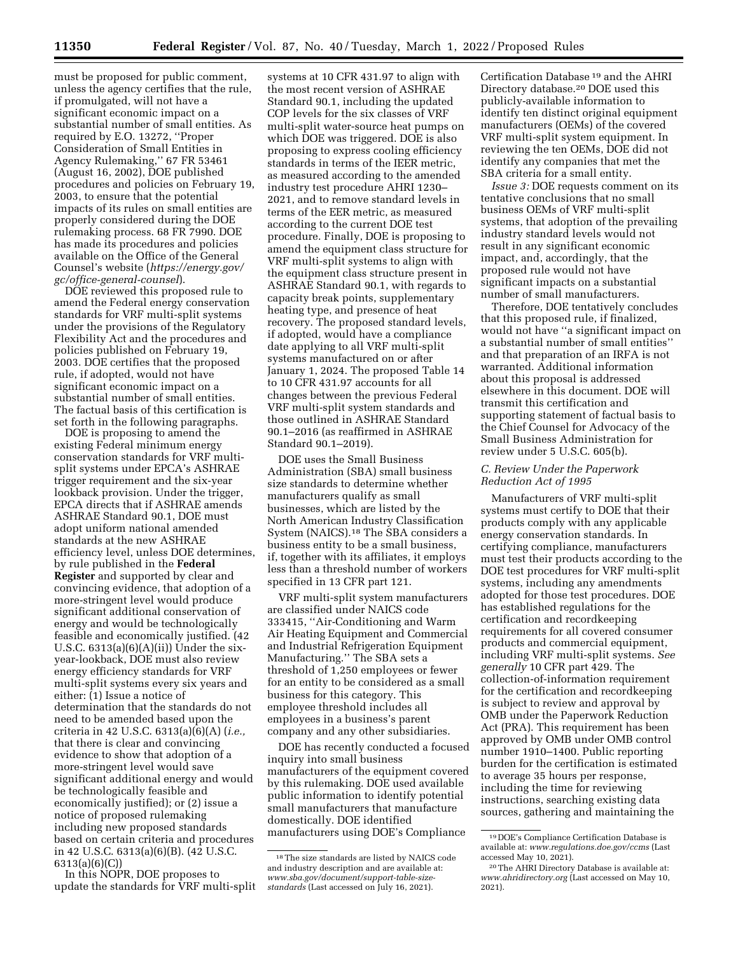must be proposed for public comment, unless the agency certifies that the rule, if promulgated, will not have a significant economic impact on a substantial number of small entities. As required by E.O. 13272, ''Proper Consideration of Small Entities in Agency Rulemaking,'' 67 FR 53461 (August 16, 2002), DOE published procedures and policies on February 19, 2003, to ensure that the potential impacts of its rules on small entities are properly considered during the DOE rulemaking process. 68 FR 7990. DOE has made its procedures and policies available on the Office of the General Counsel's website (*[https://energy.gov/](https://energy.gov/gc/office-general-counsel) [gc/office-general-counsel](https://energy.gov/gc/office-general-counsel)*).

DOE reviewed this proposed rule to amend the Federal energy conservation standards for VRF multi-split systems under the provisions of the Regulatory Flexibility Act and the procedures and policies published on February 19, 2003. DOE certifies that the proposed rule, if adopted, would not have significant economic impact on a substantial number of small entities. The factual basis of this certification is set forth in the following paragraphs.

DOE is proposing to amend the existing Federal minimum energy conservation standards for VRF multisplit systems under EPCA's ASHRAE trigger requirement and the six-year lookback provision. Under the trigger, EPCA directs that if ASHRAE amends ASHRAE Standard 90.1, DOE must adopt uniform national amended standards at the new ASHRAE efficiency level, unless DOE determines, by rule published in the **Federal Register** and supported by clear and convincing evidence, that adoption of a more-stringent level would produce significant additional conservation of energy and would be technologically feasible and economically justified. (42 U.S.C.  $6313(a)(6)(A)(ii)$  Under the sixyear-lookback, DOE must also review energy efficiency standards for VRF multi-split systems every six years and either: (1) Issue a notice of determination that the standards do not need to be amended based upon the criteria in 42 U.S.C. 6313(a)(6)(A) (*i.e.,*  that there is clear and convincing evidence to show that adoption of a more-stringent level would save significant additional energy and would be technologically feasible and economically justified); or (2) issue a notice of proposed rulemaking including new proposed standards based on certain criteria and procedures in 42 U.S.C. 6313(a)(6)(B). (42 U.S.C. 6313(a)(6)(C))

In this NOPR, DOE proposes to update the standards for VRF multi-split

systems at 10 CFR 431.97 to align with the most recent version of ASHRAE Standard 90.1, including the updated COP levels for the six classes of VRF multi-split water-source heat pumps on which DOE was triggered. DOE is also proposing to express cooling efficiency standards in terms of the IEER metric, as measured according to the amended industry test procedure AHRI 1230– 2021, and to remove standard levels in terms of the EER metric, as measured according to the current DOE test procedure. Finally, DOE is proposing to amend the equipment class structure for VRF multi-split systems to align with the equipment class structure present in ASHRAE Standard 90.1, with regards to capacity break points, supplementary heating type, and presence of heat recovery. The proposed standard levels, if adopted, would have a compliance date applying to all VRF multi-split systems manufactured on or after January 1, 2024. The proposed Table 14 to 10 CFR 431.97 accounts for all changes between the previous Federal VRF multi-split system standards and those outlined in ASHRAE Standard 90.1–2016 (as reaffirmed in ASHRAE Standard 90.1–2019).

DOE uses the Small Business Administration (SBA) small business size standards to determine whether manufacturers qualify as small businesses, which are listed by the North American Industry Classification System (NAICS).18 The SBA considers a business entity to be a small business, if, together with its affiliates, it employs less than a threshold number of workers specified in 13 CFR part 121.

VRF multi-split system manufacturers are classified under NAICS code 333415, ''Air-Conditioning and Warm Air Heating Equipment and Commercial and Industrial Refrigeration Equipment Manufacturing.'' The SBA sets a threshold of 1,250 employees or fewer for an entity to be considered as a small business for this category. This employee threshold includes all employees in a business's parent company and any other subsidiaries.

DOE has recently conducted a focused inquiry into small business manufacturers of the equipment covered by this rulemaking. DOE used available public information to identify potential small manufacturers that manufacture domestically. DOE identified manufacturers using DOE's Compliance

Certification Database 19 and the AHRI Directory database.20 DOE used this publicly-available information to identify ten distinct original equipment manufacturers (OEMs) of the covered VRF multi-split system equipment. In reviewing the ten OEMs, DOE did not identify any companies that met the SBA criteria for a small entity.

*Issue 3:* DOE requests comment on its tentative conclusions that no small business OEMs of VRF multi-split systems, that adoption of the prevailing industry standard levels would not result in any significant economic impact, and, accordingly, that the proposed rule would not have significant impacts on a substantial number of small manufacturers.

Therefore, DOE tentatively concludes that this proposed rule, if finalized, would not have ''a significant impact on a substantial number of small entities'' and that preparation of an IRFA is not warranted. Additional information about this proposal is addressed elsewhere in this document. DOE will transmit this certification and supporting statement of factual basis to the Chief Counsel for Advocacy of the Small Business Administration for review under 5 U.S.C. 605(b).

## *C. Review Under the Paperwork Reduction Act of 1995*

Manufacturers of VRF multi-split systems must certify to DOE that their products comply with any applicable energy conservation standards. In certifying compliance, manufacturers must test their products according to the DOE test procedures for VRF multi-split systems, including any amendments adopted for those test procedures. DOE has established regulations for the certification and recordkeeping requirements for all covered consumer products and commercial equipment, including VRF multi-split systems. *See generally* 10 CFR part 429. The collection-of-information requirement for the certification and recordkeeping is subject to review and approval by OMB under the Paperwork Reduction Act (PRA). This requirement has been approved by OMB under OMB control number 1910–1400. Public reporting burden for the certification is estimated to average 35 hours per response, including the time for reviewing instructions, searching existing data sources, gathering and maintaining the

<sup>18</sup>The size standards are listed by NAICS code and industry description and are available at: *[www.sba.gov/document/support-table-size](http://www.sba.gov/document/support-table-size-standards)[standards](http://www.sba.gov/document/support-table-size-standards)* (Last accessed on July 16, 2021).

<sup>19</sup> DOE's Compliance Certification Database is available at: *[www.regulations.doe.gov/ccms](http://www.regulations.doe.gov/ccms)* (Last accessed May 10, 2021).

<sup>20</sup>The AHRI Directory Database is available at: *[www.ahridirectory.org](http://www.ahridirectory.org)* (Last accessed on May 10, 2021).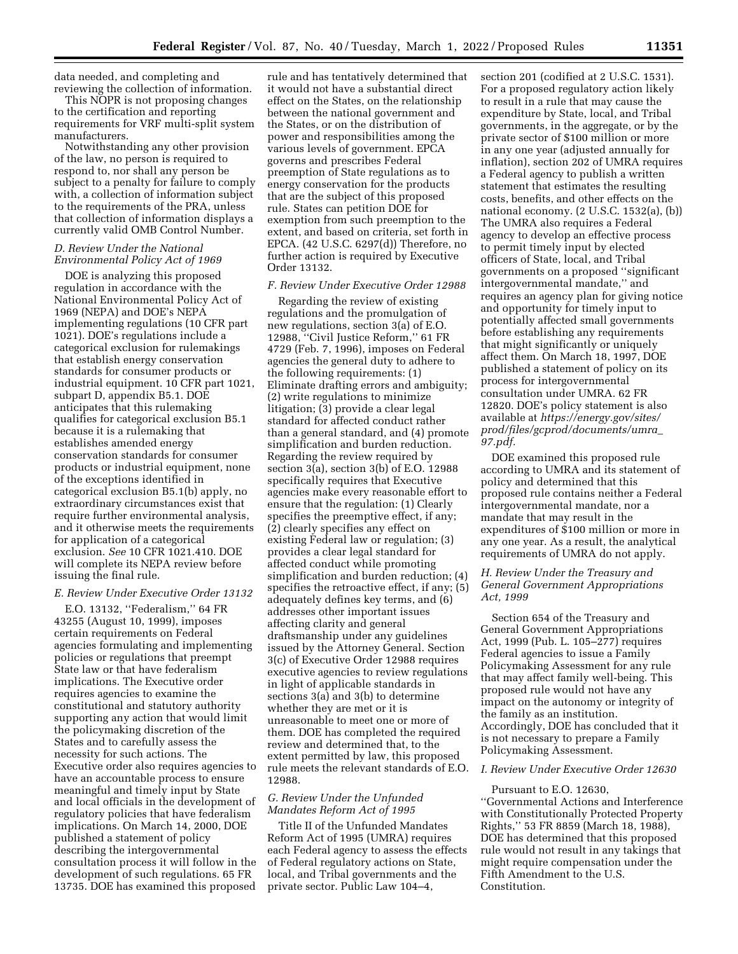data needed, and completing and reviewing the collection of information.

This NOPR is not proposing changes to the certification and reporting requirements for VRF multi-split system manufacturers.

Notwithstanding any other provision of the law, no person is required to respond to, nor shall any person be subject to a penalty for failure to comply with, a collection of information subject to the requirements of the PRA, unless that collection of information displays a currently valid OMB Control Number.

### *D. Review Under the National Environmental Policy Act of 1969*

DOE is analyzing this proposed regulation in accordance with the National Environmental Policy Act of 1969 (NEPA) and DOE's NEPA implementing regulations (10 CFR part 1021). DOE's regulations include a categorical exclusion for rulemakings that establish energy conservation standards for consumer products or industrial equipment. 10 CFR part 1021, subpart D, appendix B5.1. DOE anticipates that this rulemaking qualifies for categorical exclusion B5.1 because it is a rulemaking that establishes amended energy conservation standards for consumer products or industrial equipment, none of the exceptions identified in categorical exclusion B5.1(b) apply, no extraordinary circumstances exist that require further environmental analysis, and it otherwise meets the requirements for application of a categorical exclusion. *See* 10 CFR 1021.410. DOE will complete its NEPA review before issuing the final rule.

### *E. Review Under Executive Order 13132*

E.O. 13132, ''Federalism,'' 64 FR 43255 (August 10, 1999), imposes certain requirements on Federal agencies formulating and implementing policies or regulations that preempt State law or that have federalism implications. The Executive order requires agencies to examine the constitutional and statutory authority supporting any action that would limit the policymaking discretion of the States and to carefully assess the necessity for such actions. The Executive order also requires agencies to have an accountable process to ensure meaningful and timely input by State and local officials in the development of regulatory policies that have federalism implications. On March 14, 2000, DOE published a statement of policy describing the intergovernmental consultation process it will follow in the development of such regulations. 65 FR 13735. DOE has examined this proposed

rule and has tentatively determined that it would not have a substantial direct effect on the States, on the relationship between the national government and the States, or on the distribution of power and responsibilities among the various levels of government. EPCA governs and prescribes Federal preemption of State regulations as to energy conservation for the products that are the subject of this proposed rule. States can petition DOE for exemption from such preemption to the extent, and based on criteria, set forth in EPCA. (42 U.S.C. 6297(d)) Therefore, no further action is required by Executive Order 13132.

## *F. Review Under Executive Order 12988*

Regarding the review of existing regulations and the promulgation of new regulations, section 3(a) of E.O. 12988, ''Civil Justice Reform,'' 61 FR 4729 (Feb. 7, 1996), imposes on Federal agencies the general duty to adhere to the following requirements: (1) Eliminate drafting errors and ambiguity; (2) write regulations to minimize litigation; (3) provide a clear legal standard for affected conduct rather than a general standard, and (4) promote simplification and burden reduction. Regarding the review required by section 3(a), section 3(b) of E.O. 12988 specifically requires that Executive agencies make every reasonable effort to ensure that the regulation: (1) Clearly specifies the preemptive effect, if any; (2) clearly specifies any effect on existing Federal law or regulation; (3) provides a clear legal standard for affected conduct while promoting simplification and burden reduction; (4) specifies the retroactive effect, if any; (5) adequately defines key terms, and (6) addresses other important issues affecting clarity and general draftsmanship under any guidelines issued by the Attorney General. Section 3(c) of Executive Order 12988 requires executive agencies to review regulations in light of applicable standards in sections 3(a) and 3(b) to determine whether they are met or it is unreasonable to meet one or more of them. DOE has completed the required review and determined that, to the extent permitted by law, this proposed rule meets the relevant standards of E.O. 12988.

## *G. Review Under the Unfunded Mandates Reform Act of 1995*

Title II of the Unfunded Mandates Reform Act of 1995 (UMRA) requires each Federal agency to assess the effects of Federal regulatory actions on State, local, and Tribal governments and the private sector. Public Law 104–4,

section 201 (codified at 2 U.S.C. 1531). For a proposed regulatory action likely to result in a rule that may cause the expenditure by State, local, and Tribal governments, in the aggregate, or by the private sector of \$100 million or more in any one year (adjusted annually for inflation), section 202 of UMRA requires a Federal agency to publish a written statement that estimates the resulting costs, benefits, and other effects on the national economy. (2 U.S.C. 1532(a), (b)) The UMRA also requires a Federal agency to develop an effective process to permit timely input by elected officers of State, local, and Tribal governments on a proposed ''significant intergovernmental mandate,'' and requires an agency plan for giving notice and opportunity for timely input to potentially affected small governments before establishing any requirements that might significantly or uniquely affect them. On March 18, 1997, DOE published a statement of policy on its process for intergovernmental consultation under UMRA. 62 FR 12820. DOE's policy statement is also available at *[https://energy.gov/sites/](https://energy.gov/sites/prod/files/gcprod/documents/umra_97.pdf) [prod/files/gcprod/documents/umra](https://energy.gov/sites/prod/files/gcprod/documents/umra_97.pdf)*\_ *[97.pdf.](https://energy.gov/sites/prod/files/gcprod/documents/umra_97.pdf)* 

DOE examined this proposed rule according to UMRA and its statement of policy and determined that this proposed rule contains neither a Federal intergovernmental mandate, nor a mandate that may result in the expenditures of \$100 million or more in any one year. As a result, the analytical requirements of UMRA do not apply.

# *H. Review Under the Treasury and General Government Appropriations Act, 1999*

Section 654 of the Treasury and General Government Appropriations Act, 1999 (Pub. L. 105–277) requires Federal agencies to issue a Family Policymaking Assessment for any rule that may affect family well-being. This proposed rule would not have any impact on the autonomy or integrity of the family as an institution. Accordingly, DOE has concluded that it is not necessary to prepare a Family Policymaking Assessment.

#### *I. Review Under Executive Order 12630*

## Pursuant to E.O. 12630,

''Governmental Actions and Interference with Constitutionally Protected Property Rights,'' 53 FR 8859 (March 18, 1988), DOE has determined that this proposed rule would not result in any takings that might require compensation under the Fifth Amendment to the U.S. Constitution.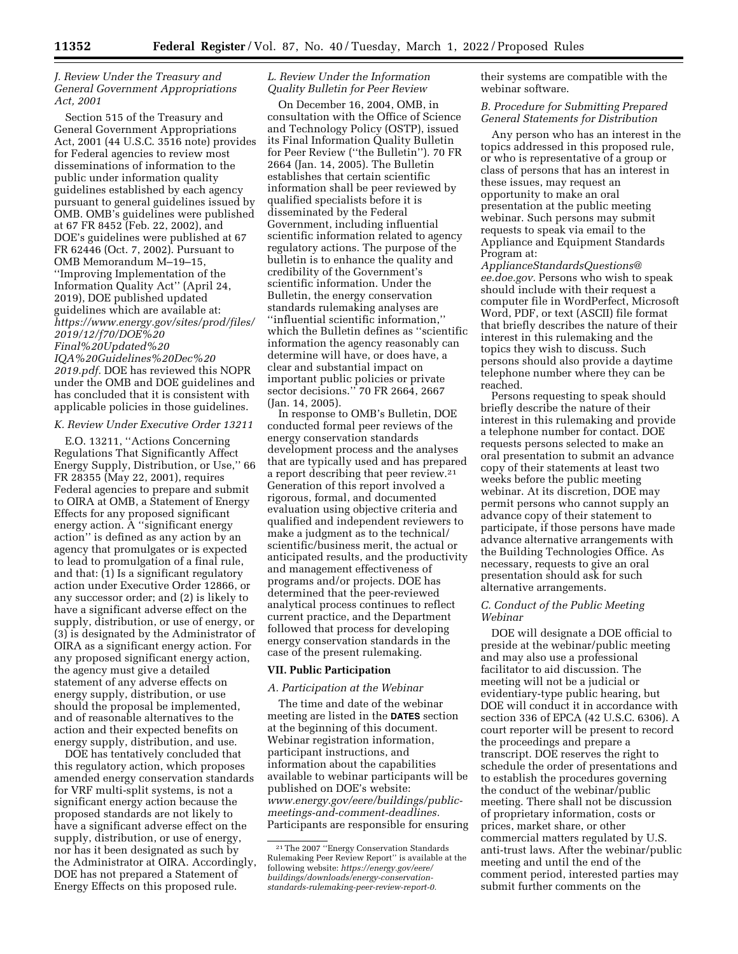# *J. Review Under the Treasury and General Government Appropriations Act, 2001*

Section 515 of the Treasury and General Government Appropriations Act, 2001 (44 U.S.C. 3516 note) provides for Federal agencies to review most disseminations of information to the public under information quality guidelines established by each agency pursuant to general guidelines issued by OMB. OMB's guidelines were published at 67 FR 8452 (Feb. 22, 2002), and DOE's guidelines were published at 67 FR 62446 (Oct. 7, 2002). Pursuant to OMB Memorandum M–19–15, ''Improving Implementation of the Information Quality Act'' (April 24, 2019), DOE published updated guidelines which are available at: *[https://www.energy.gov/sites/prod/files/](https://www.energy.gov/sites/prod/files/2019/12/f70/DOE%20Final%20Updated%20IQA%20Guidelines%20Dec%202019.pdf) [2019/12/f70/DOE%20](https://www.energy.gov/sites/prod/files/2019/12/f70/DOE%20Final%20Updated%20IQA%20Guidelines%20Dec%202019.pdf) [Final%20Updated%20](https://www.energy.gov/sites/prod/files/2019/12/f70/DOE%20Final%20Updated%20IQA%20Guidelines%20Dec%202019.pdf)*

*[IQA%20Guidelines%20Dec%20](https://www.energy.gov/sites/prod/files/2019/12/f70/DOE%20Final%20Updated%20IQA%20Guidelines%20Dec%202019.pdf)* [2019.pdf.](https://www.energy.gov/sites/prod/files/2019/12/f70/DOE%20Final%20Updated%20IQA%20Guidelines%20Dec%202019.pdf) DOE has reviewed this NOPR under the OMB and DOE guidelines and has concluded that it is consistent with applicable policies in those guidelines.

## *K. Review Under Executive Order 13211*

E.O. 13211, ''Actions Concerning Regulations That Significantly Affect Energy Supply, Distribution, or Use,'' 66 FR 28355 (May 22, 2001), requires Federal agencies to prepare and submit to OIRA at OMB, a Statement of Energy Effects for any proposed significant energy action. A ''significant energy action'' is defined as any action by an agency that promulgates or is expected to lead to promulgation of a final rule, and that: (1) Is a significant regulatory action under Executive Order 12866, or any successor order; and (2) is likely to have a significant adverse effect on the supply, distribution, or use of energy, or (3) is designated by the Administrator of OIRA as a significant energy action. For any proposed significant energy action, the agency must give a detailed statement of any adverse effects on energy supply, distribution, or use should the proposal be implemented, and of reasonable alternatives to the action and their expected benefits on energy supply, distribution, and use.

DOE has tentatively concluded that this regulatory action, which proposes amended energy conservation standards for VRF multi-split systems, is not a significant energy action because the proposed standards are not likely to have a significant adverse effect on the supply, distribution, or use of energy, nor has it been designated as such by the Administrator at OIRA. Accordingly, DOE has not prepared a Statement of Energy Effects on this proposed rule.

## *L. Review Under the Information Quality Bulletin for Peer Review*

On December 16, 2004, OMB, in consultation with the Office of Science and Technology Policy (OSTP), issued its Final Information Quality Bulletin for Peer Review (''the Bulletin''). 70 FR 2664 (Jan. 14, 2005). The Bulletin establishes that certain scientific information shall be peer reviewed by qualified specialists before it is disseminated by the Federal Government, including influential scientific information related to agency regulatory actions. The purpose of the bulletin is to enhance the quality and credibility of the Government's scientific information. Under the Bulletin, the energy conservation standards rulemaking analyses are ''influential scientific information,'' which the Bulletin defines as ''scientific information the agency reasonably can determine will have, or does have, a clear and substantial impact on important public policies or private sector decisions.'' 70 FR 2664, 2667 (Jan. 14, 2005).

In response to OMB's Bulletin, DOE conducted formal peer reviews of the energy conservation standards development process and the analyses that are typically used and has prepared a report describing that peer review.21 Generation of this report involved a rigorous, formal, and documented evaluation using objective criteria and qualified and independent reviewers to make a judgment as to the technical/ scientific/business merit, the actual or anticipated results, and the productivity and management effectiveness of programs and/or projects. DOE has determined that the peer-reviewed analytical process continues to reflect current practice, and the Department followed that process for developing energy conservation standards in the case of the present rulemaking.

### **VII. Public Participation**

#### *A. Participation at the Webinar*

The time and date of the webinar meeting are listed in the **DATES** section at the beginning of this document. Webinar registration information, participant instructions, and information about the capabilities available to webinar participants will be published on DOE's website: *[www.energy.gov/eere/buildings/public](http://www.energy.gov/eere/buildings/public-meetings-and-comment-deadlines)[meetings-and-comment-deadlines.](http://www.energy.gov/eere/buildings/public-meetings-and-comment-deadlines)*  Participants are responsible for ensuring their systems are compatible with the webinar software.

## *B. Procedure for Submitting Prepared General Statements for Distribution*

Any person who has an interest in the topics addressed in this proposed rule, or who is representative of a group or class of persons that has an interest in these issues, may request an opportunity to make an oral presentation at the public meeting webinar. Such persons may submit requests to speak via email to the Appliance and Equipment Standards Program at:

*[ApplianceStandardsQuestions@](mailto:ApplianceStandardsQuestions@ee.doe.gov) [ee.doe.gov.](mailto:ApplianceStandardsQuestions@ee.doe.gov)* Persons who wish to speak should include with their request a computer file in WordPerfect, Microsoft Word, PDF, or text (ASCII) file format that briefly describes the nature of their interest in this rulemaking and the topics they wish to discuss. Such persons should also provide a daytime telephone number where they can be reached.

Persons requesting to speak should briefly describe the nature of their interest in this rulemaking and provide a telephone number for contact. DOE requests persons selected to make an oral presentation to submit an advance copy of their statements at least two weeks before the public meeting webinar. At its discretion, DOE may permit persons who cannot supply an advance copy of their statement to participate, if those persons have made advance alternative arrangements with the Building Technologies Office. As necessary, requests to give an oral presentation should ask for such alternative arrangements.

# *C. Conduct of the Public Meeting Webinar*

DOE will designate a DOE official to preside at the webinar/public meeting and may also use a professional facilitator to aid discussion. The meeting will not be a judicial or evidentiary-type public hearing, but DOE will conduct it in accordance with section 336 of EPCA (42 U.S.C. 6306). A court reporter will be present to record the proceedings and prepare a transcript. DOE reserves the right to schedule the order of presentations and to establish the procedures governing the conduct of the webinar/public meeting. There shall not be discussion of proprietary information, costs or prices, market share, or other commercial matters regulated by U.S. anti-trust laws. After the webinar/public meeting and until the end of the comment period, interested parties may submit further comments on the

<sup>21</sup>The 2007 ''Energy Conservation Standards Rulemaking Peer Review Report'' is available at the following website: *[https://energy.gov/eere/](https://energy.gov/eere/buildings/downloads/energy-conservation-standards-rulemaking-peer-review-report-0)  [buildings/downloads/energy-conservation](https://energy.gov/eere/buildings/downloads/energy-conservation-standards-rulemaking-peer-review-report-0)[standards-rulemaking-peer-review-report-0.](https://energy.gov/eere/buildings/downloads/energy-conservation-standards-rulemaking-peer-review-report-0)*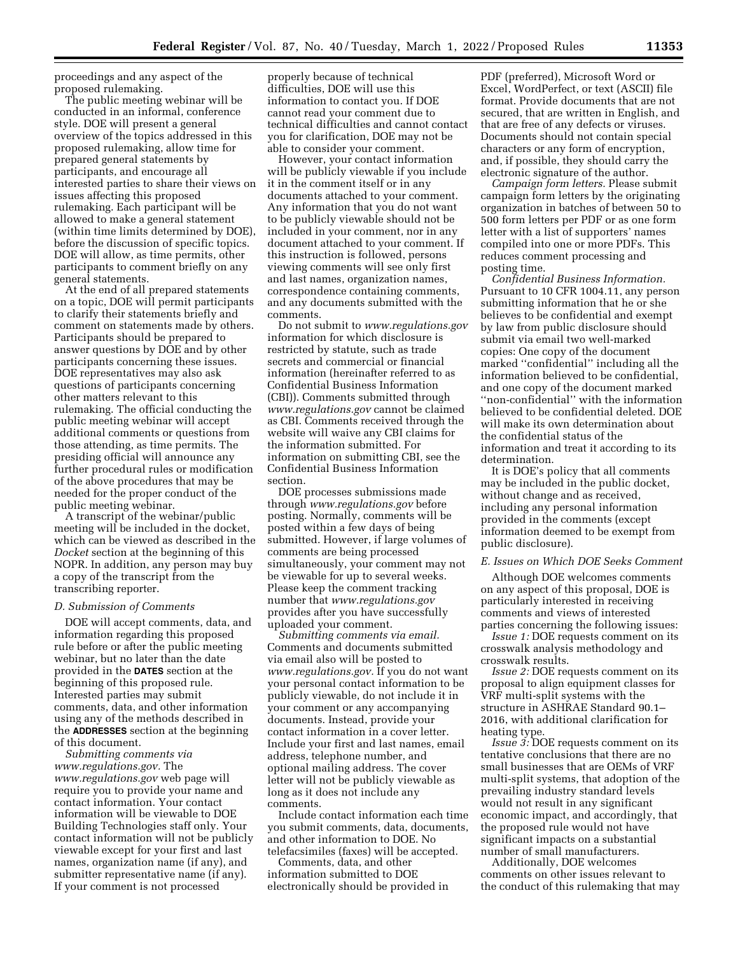proceedings and any aspect of the proposed rulemaking.

The public meeting webinar will be conducted in an informal, conference style. DOE will present a general overview of the topics addressed in this proposed rulemaking, allow time for prepared general statements by participants, and encourage all interested parties to share their views on issues affecting this proposed rulemaking. Each participant will be allowed to make a general statement (within time limits determined by DOE), before the discussion of specific topics. DOE will allow, as time permits, other participants to comment briefly on any general statements.

At the end of all prepared statements on a topic, DOE will permit participants to clarify their statements briefly and comment on statements made by others. Participants should be prepared to answer questions by DOE and by other participants concerning these issues. DOE representatives may also ask questions of participants concerning other matters relevant to this rulemaking. The official conducting the public meeting webinar will accept additional comments or questions from those attending, as time permits. The presiding official will announce any further procedural rules or modification of the above procedures that may be needed for the proper conduct of the public meeting webinar.

A transcript of the webinar/public meeting will be included in the docket, which can be viewed as described in the *Docket* section at the beginning of this NOPR. In addition, any person may buy a copy of the transcript from the transcribing reporter.

#### *D. Submission of Comments*

DOE will accept comments, data, and information regarding this proposed rule before or after the public meeting webinar, but no later than the date provided in the **DATES** section at the beginning of this proposed rule. Interested parties may submit comments, data, and other information using any of the methods described in the **ADDRESSES** section at the beginning of this document.

*Submitting comments via [www.regulations.gov.](http://www.regulations.gov)* The *[www.regulations.gov](http://www.regulations.gov)* web page will require you to provide your name and contact information. Your contact information will be viewable to DOE Building Technologies staff only. Your contact information will not be publicly viewable except for your first and last names, organization name (if any), and submitter representative name (if any). If your comment is not processed

properly because of technical difficulties, DOE will use this information to contact you. If DOE cannot read your comment due to technical difficulties and cannot contact you for clarification, DOE may not be able to consider your comment.

However, your contact information will be publicly viewable if you include it in the comment itself or in any documents attached to your comment. Any information that you do not want to be publicly viewable should not be included in your comment, nor in any document attached to your comment. If this instruction is followed, persons viewing comments will see only first and last names, organization names, correspondence containing comments, and any documents submitted with the comments.

Do not submit to *[www.regulations.gov](http://www.regulations.gov)*  information for which disclosure is restricted by statute, such as trade secrets and commercial or financial information (hereinafter referred to as Confidential Business Information (CBI)). Comments submitted through *[www.regulations.gov](http://www.regulations.gov)* cannot be claimed as CBI. Comments received through the website will waive any CBI claims for the information submitted. For information on submitting CBI, see the Confidential Business Information section.

DOE processes submissions made through *[www.regulations.gov](http://www.regulations.gov)* before posting. Normally, comments will be posted within a few days of being submitted. However, if large volumes of comments are being processed simultaneously, your comment may not be viewable for up to several weeks. Please keep the comment tracking number that *[www.regulations.gov](http://www.regulations.gov)*  provides after you have successfully uploaded your comment.

*Submitting comments via email.*  Comments and documents submitted via email also will be posted to *[www.regulations.gov.](http://www.regulations.gov)* If you do not want your personal contact information to be publicly viewable, do not include it in your comment or any accompanying documents. Instead, provide your contact information in a cover letter. Include your first and last names, email address, telephone number, and optional mailing address. The cover letter will not be publicly viewable as long as it does not include any comments.

Include contact information each time you submit comments, data, documents, and other information to DOE. No telefacsimiles (faxes) will be accepted.

Comments, data, and other information submitted to DOE electronically should be provided in

PDF (preferred), Microsoft Word or Excel, WordPerfect, or text (ASCII) file format. Provide documents that are not secured, that are written in English, and that are free of any defects or viruses. Documents should not contain special characters or any form of encryption, and, if possible, they should carry the electronic signature of the author.

*Campaign form letters.* Please submit campaign form letters by the originating organization in batches of between 50 to 500 form letters per PDF or as one form letter with a list of supporters' names compiled into one or more PDFs. This reduces comment processing and posting time.

*Confidential Business Information.*  Pursuant to 10 CFR 1004.11, any person submitting information that he or she believes to be confidential and exempt by law from public disclosure should submit via email two well-marked copies: One copy of the document marked ''confidential'' including all the information believed to be confidential, and one copy of the document marked ''non-confidential'' with the information believed to be confidential deleted. DOE will make its own determination about the confidential status of the information and treat it according to its determination.

It is DOE's policy that all comments may be included in the public docket, without change and as received, including any personal information provided in the comments (except information deemed to be exempt from public disclosure).

## *E. Issues on Which DOE Seeks Comment*

Although DOE welcomes comments on any aspect of this proposal, DOE is particularly interested in receiving comments and views of interested parties concerning the following issues:

*Issue 1:* DOE requests comment on its crosswalk analysis methodology and crosswalk results.

*Issue 2:* DOE requests comment on its proposal to align equipment classes for VRF multi-split systems with the structure in ASHRAE Standard 90.1– 2016, with additional clarification for heating type.

*Issue 3:* DOE requests comment on its tentative conclusions that there are no small businesses that are OEMs of VRF multi-split systems, that adoption of the prevailing industry standard levels would not result in any significant economic impact, and accordingly, that the proposed rule would not have significant impacts on a substantial number of small manufacturers.

Additionally, DOE welcomes comments on other issues relevant to the conduct of this rulemaking that may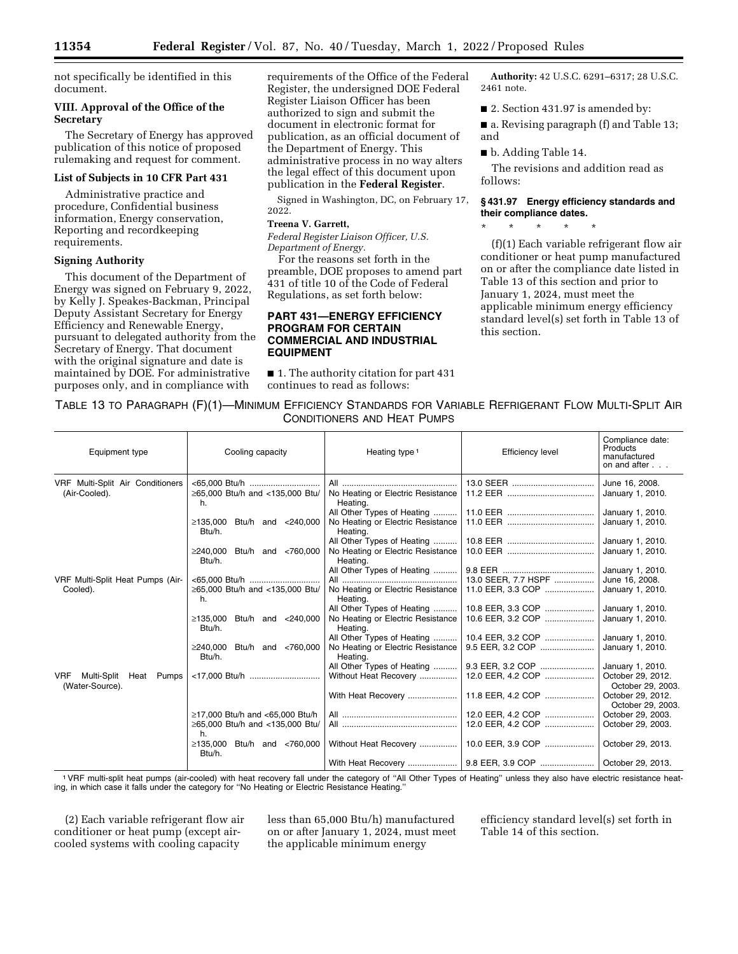not specifically be identified in this document.

## **VIII. Approval of the Office of the Secretary**

The Secretary of Energy has approved publication of this notice of proposed rulemaking and request for comment.

# **List of Subjects in 10 CFR Part 431**

Administrative practice and procedure, Confidential business information, Energy conservation, Reporting and recordkeeping requirements.

## **Signing Authority**

This document of the Department of Energy was signed on February 9, 2022, by Kelly J. Speakes-Backman, Principal Deputy Assistant Secretary for Energy Efficiency and Renewable Energy, pursuant to delegated authority from the Secretary of Energy. That document with the original signature and date is maintained by DOE. For administrative purposes only, and in compliance with

requirements of the Office of the Federal Register, the undersigned DOE Federal Register Liaison Officer has been authorized to sign and submit the document in electronic format for publication, as an official document of the Department of Energy. This administrative process in no way alters the legal effect of this document upon publication in the **Federal Register**.

Signed in Washington, DC, on February 17, 2022.

# **Treena V. Garrett,**

*Federal Register Liaison Officer, U.S. Department of Energy.* 

For the reasons set forth in the preamble, DOE proposes to amend part 431 of title 10 of the Code of Federal Regulations, as set forth below:

# **PART 431—ENERGY EFFICIENCY PROGRAM FOR CERTAIN COMMERCIAL AND INDUSTRIAL EQUIPMENT**

■ 1. The authority citation for part 431 continues to read as follows:

**Authority:** 42 U.S.C. 6291–6317; 28 U.S.C. 2461 note.

■ 2. Section 431.97 is amended by:

■ a. Revising paragraph (f) and Table 13; and

■ b. Adding Table 14.

The revisions and addition read as follows:

# **§ 431.97 Energy efficiency standards and their compliance dates.**

\* \* \* \* \*

(f)(1) Each variable refrigerant flow air conditioner or heat pump manufactured on or after the compliance date listed in Table 13 of this section and prior to January 1, 2024, must meet the applicable minimum energy efficiency standard level(s) set forth in Table 13 of this section.

| TABLE 13 TO PARAGRAPH (F)(1)-MINIMUM EFFICIENCY STANDARDS FOR VARIABLE REFRIGERANT FLOW MULTI-SPLIT AIR |                                    |  |
|---------------------------------------------------------------------------------------------------------|------------------------------------|--|
|                                                                                                         | <b>CONDITIONERS AND HEAT PUMPS</b> |  |

| Equipment type                                          | Cooling capacity                            | Heating type <sup>1</sup>                     | <b>Efficiency level</b> | Compliance date:<br>Products<br>manufactured<br>on and after |
|---------------------------------------------------------|---------------------------------------------|-----------------------------------------------|-------------------------|--------------------------------------------------------------|
| VRF Multi-Split Air Conditioners<br>(Air-Cooled).       | ≥65,000 Btu/h and <135,000 Btu/             | No Heating or Electric Resistance             |                         | June 16, 2008.<br>January 1, 2010.                           |
|                                                         | h.                                          | Heating.                                      |                         |                                                              |
|                                                         |                                             | All Other Types of Heating                    |                         | January 1, 2010.                                             |
|                                                         | $\geq$ 135.000 Btu/h and <240.000<br>Btu/h. | No Heating or Electric Resistance<br>Heating. |                         | January 1, 2010.                                             |
|                                                         |                                             | All Other Types of Heating                    |                         | January 1, 2010.                                             |
|                                                         | $\geq$ 240.000 Btu/h and <760.000<br>Btu/h. | No Heating or Electric Resistance<br>Heating. |                         | January 1, 2010.                                             |
|                                                         |                                             | All Other Types of Heating                    |                         | January 1, 2010.                                             |
| VRF Multi-Split Heat Pumps (Air-                        |                                             |                                               | 13.0 SEER, 7.7 HSPF     | June 16, 2008.                                               |
| Cooled).                                                | ≥65,000 Btu/h and <135,000 Btu/<br>h.       | No Heating or Electric Resistance<br>Heating. | 11.0 EER, 3.3 COP       | January 1, 2010.                                             |
|                                                         |                                             | All Other Types of Heating                    | 10.8 EER, 3.3 COP       | January 1, 2010.                                             |
|                                                         | $\geq$ 135.000 Btu/h and <240.000<br>Btu/h. | No Heating or Electric Resistance<br>Heating. | 10.6 EER. 3.2 COP       | January 1, 2010.                                             |
|                                                         |                                             | All Other Types of Heating                    | 10.4 EER, 3.2 COP       | January 1, 2010.                                             |
|                                                         | Btu/h and <760,000<br>≥240.000<br>Btu/h.    | No Heating or Electric Resistance<br>Heating. | 9.5 EER, 3.2 COP        | January 1, 2010.                                             |
|                                                         |                                             | All Other Types of Heating                    | 9.3 EER, 3.2 COP        | January 1, 2010.                                             |
| Multi-Split Heat Pumps<br><b>VRF</b><br>(Water-Source). |                                             | Without Heat Recovery                         | 12.0 EER, 4.2 COP       | October 29, 2012.<br>October 29, 2003.                       |
|                                                         |                                             | With Heat Recovery                            | 11.8 EER, 4.2 COP       | October 29, 2012.<br>October 29, 2003.                       |
|                                                         | $≥17.000$ Btu/h and <65.000 Btu/h           |                                               | 12.0 EER, 4.2 COP       | October 29, 2003.                                            |
|                                                         | ≥65,000 Btu/h and <135,000 Btu/<br>h        |                                               | 12.0 EER, 4.2 COP       | October 29, 2003.                                            |
|                                                         | $≥135,000$ Btu/h and <760,000<br>Btu/h.     | Without Heat Recovery                         | 10.0 EER, 3.9 COP       | October 29, 2013.                                            |
|                                                         |                                             |                                               |                         |                                                              |

1VRF multi-split heat pumps (air-cooled) with heat recovery fall under the category of ''All Other Types of Heating'' unless they also have electric resistance heating, in which case it falls under the category for ''No Heating or Electric Resistance Heating.''

(2) Each variable refrigerant flow air conditioner or heat pump (except aircooled systems with cooling capacity

less than 65,000 Btu/h) manufactured on or after January 1, 2024, must meet the applicable minimum energy

efficiency standard level(s) set forth in Table 14 of this section.